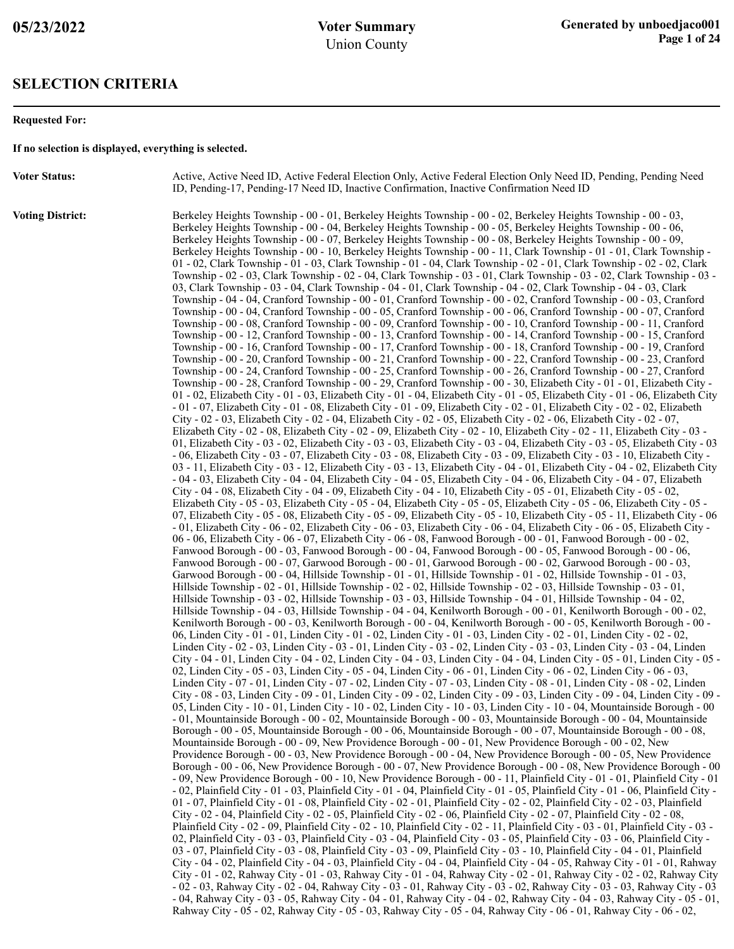#### **SELECTION CRITERIA**

#### **Requested For:**

**If no selection is displayed, everything is selected.**

**Voter Status:** Active, Active Need ID, Active Federal Election Only, Active Federal Election Only Need ID, Pending, Pending Need ID, Pending-17, Pending-17 Need ID, Inactive Confirmation, Inactive Confirmation Need ID

**Voting District:** Berkeley Heights Township - 00 - 01, Berkeley Heights Township - 00 - 02, Berkeley Heights Township - 00 - 03, Berkeley Heights Township - 00 - 04, Berkeley Heights Township - 00 - 05, Berkeley Heights Township - 00 - 06, Berkeley Heights Township - 00 - 07, Berkeley Heights Township - 00 - 08, Berkeley Heights Township - 00 - 09, Berkeley Heights Township - 00 - 10, Berkeley Heights Township - 00 - 11, Clark Township - 01 - 01, Clark Township - 01 - 02, Clark Township - 01 - 03, Clark Township - 01 - 04, Clark Township - 02 - 01, Clark Township - 02 - 02, Clark Township - 02 - 03, Clark Township - 02 - 04, Clark Township - 03 - 01, Clark Township - 03 - 02, Clark Township - 03 - 03, Clark Township - 03 - 04, Clark Township - 04 - 01, Clark Township - 04 - 02, Clark Township - 04 - 03, Clark Township - 04 - 04, Cranford Township - 00 - 01, Cranford Township - 00 - 02, Cranford Township - 00 - 03, Cranford Township - 00 - 04, Cranford Township - 00 - 05, Cranford Township - 00 - 06, Cranford Township - 00 - 07, Cranford Township - 00 - 08, Cranford Township - 00 - 09, Cranford Township - 00 - 10, Cranford Township - 00 - 11, Cranford Township - 00 - 12, Cranford Township - 00 - 13, Cranford Township - 00 - 14, Cranford Township - 00 - 15, Cranford Township - 00 - 16, Cranford Township - 00 - 17, Cranford Township - 00 - 18, Cranford Township - 00 - 19, Cranford Township - 00 - 20, Cranford Township - 00 - 21, Cranford Township - 00 - 22, Cranford Township - 00 - 23, Cranford Township - 00 - 24, Cranford Township - 00 - 25, Cranford Township - 00 - 26, Cranford Township - 00 - 27, Cranford Township - 00 - 28, Cranford Township - 00 - 29, Cranford Township - 00 - 30, Elizabeth City - 01 - 01, Elizabeth City - 01 - 02, Elizabeth City - 01 - 03, Elizabeth City - 01 - 04, Elizabeth City - 01 - 05, Elizabeth City - 01 - 06, Elizabeth City - 01 - 07, Elizabeth City - 01 - 08, Elizabeth City - 01 - 09, Elizabeth City - 02 - 01, Elizabeth City - 02 - 02, Elizabeth City - 02 - 03, Elizabeth City - 02 - 04, Elizabeth City - 02 - 05, Elizabeth City - 02 - 06, Elizabeth City - 02 - 07, Elizabeth City - 02 - 08, Elizabeth City - 02 - 09, Elizabeth City - 02 - 10, Elizabeth City - 02 - 11, Elizabeth City - 03 - 01, Elizabeth City - 03 - 02, Elizabeth City - 03 - 03, Elizabeth City - 03 - 04, Elizabeth City - 03 - 05, Elizabeth City - 03 - 06, Elizabeth City - 03 - 07, Elizabeth City - 03 - 08, Elizabeth City - 03 - 09, Elizabeth City - 03 - 10, Elizabeth City - 03 - 11, Elizabeth City - 03 - 12, Elizabeth City - 03 - 13, Elizabeth City - 04 - 01, Elizabeth City - 04 - 02, Elizabeth City - 04 - 03, Elizabeth City - 04 - 04, Elizabeth City - 04 - 05, Elizabeth City - 04 - 06, Elizabeth City - 04 - 07, Elizabeth City - 04 - 08, Elizabeth City - 04 - 09, Elizabeth City - 04 - 10, Elizabeth City - 05 - 01, Elizabeth City - 05 - 02, Elizabeth City - 05 - 03, Elizabeth City - 05 - 04, Elizabeth City - 05 - 05, Elizabeth City - 05 - 06, Elizabeth City - 05 - 07, Elizabeth City - 05 - 08, Elizabeth City - 05 - 09, Elizabeth City - 05 - 10, Elizabeth City - 05 - 11, Elizabeth City - 06 - 01, Elizabeth City - 06 - 02, Elizabeth City - 06 - 03, Elizabeth City - 06 - 04, Elizabeth City - 06 - 05, Elizabeth City - 06 - 06, Elizabeth City - 06 - 07, Elizabeth City - 06 - 08, Fanwood Borough - 00 - 01, Fanwood Borough - 00 - 02, Fanwood Borough - 00 - 03, Fanwood Borough - 00 - 04, Fanwood Borough - 00 - 05, Fanwood Borough - 00 - 06, Fanwood Borough - 00 - 07, Garwood Borough - 00 - 01, Garwood Borough - 00 - 02, Garwood Borough - 00 - 03, Garwood Borough - 00 - 04, Hillside Township - 01 - 01, Hillside Township - 01 - 02, Hillside Township - 01 - 03, Hillside Township - 02 - 01, Hillside Township - 02 - 02, Hillside Township - 02 - 03, Hillside Township - 03 - 01, Hillside Township - 03 - 02, Hillside Township - 03 - 03, Hillside Township - 04 - 01, Hillside Township - 04 - 02, Hillside Township - 04 - 03, Hillside Township - 04 - 04, Kenilworth Borough - 00 - 01, Kenilworth Borough - 00 - 02, Kenilworth Borough - 00 - 03, Kenilworth Borough - 00 - 04, Kenilworth Borough - 00 - 05, Kenilworth Borough - 00 - 06, Linden City - 01 - 01, Linden City - 01 - 02, Linden City - 01 - 03, Linden City - 02 - 01, Linden City - 02 - 02, Linden City - 02 - 03, Linden City - 03 - 01, Linden City - 03 - 02, Linden City - 03 - 03, Linden City - 03 - 04, Linden City - 04 - 01, Linden City - 04 - 02, Linden City - 04 - 03, Linden City - 04 - 04, Linden City - 05 - 01, Linden City - 05 - 02, Linden City - 05 - 03, Linden City - 05 - 04, Linden City - 06 - 01, Linden City - 06 - 02, Linden City - 06 - 03, Linden City - 07 - 01, Linden City - 07 - 02, Linden City - 07 - 03, Linden City - 08 - 01, Linden City - 08 - 02, Linden City - 08 - 03, Linden City - 09 - 01, Linden City - 09 - 02, Linden City - 09 - 03, Linden City - 09 - 04, Linden City - 09 - 05, Linden City - 10 - 01, Linden City - 10 - 02, Linden City - 10 - 03, Linden City - 10 - 04, Mountainside Borough - 00 - 01, Mountainside Borough - 00 - 02, Mountainside Borough - 00 - 03, Mountainside Borough - 00 - 04, Mountainside Borough - 00 - 05, Mountainside Borough - 00 - 06, Mountainside Borough - 00 - 07, Mountainside Borough - 00 - 08, Mountainside Borough - 00 - 09, New Providence Borough - 00 - 01, New Providence Borough - 00 - 02, New Providence Borough - 00 - 03, New Providence Borough - 00 - 04, New Providence Borough - 00 - 05, New Providence Borough - 00 - 06, New Providence Borough - 00 - 07, New Providence Borough - 00 - 08, New Providence Borough - 00 - 09, New Providence Borough - 00 - 10, New Providence Borough - 00 - 11, Plainfield City - 01 - 01, Plainfield City - 01 - 02, Plainfield City - 01 - 03, Plainfield City - 01 - 04, Plainfield City - 01 - 05, Plainfield City - 01 - 06, Plainfield City - 01 - 07, Plainfield City - 01 - 08, Plainfield City - 02 - 01, Plainfield City - 02 - 02, Plainfield City - 02 - 03, Plainfield City - 02 - 04, Plainfield City - 02 - 05, Plainfield City - 02 - 06, Plainfield City - 02 - 07, Plainfield City - 02 - 08, Plainfield City - 02 - 09, Plainfield City - 02 - 10, Plainfield City - 02 - 11, Plainfield City - 03 - 01, Plainfield City - 03 - 02, Plainfield City - 03 - 03, Plainfield City - 03 - 04, Plainfield City - 03 - 05, Plainfield City - 03 - 06, Plainfield City - 03 - 07, Plainfield City - 03 - 08, Plainfield City - 03 - 09, Plainfield City - 03 - 10, Plainfield City - 04 - 01, Plainfield City - 04 - 02, Plainfield City - 04 - 03, Plainfield City - 04 - 04, Plainfield City - 04 - 05, Rahway City - 01 - 01, Rahway City - 01 - 02, Rahway City - 01 - 03, Rahway City - 01 - 04, Rahway City - 02 - 01, Rahway City - 02 - 02, Rahway City - 02 - 03, Rahway City - 02 - 04, Rahway City - 03 - 01, Rahway City - 03 - 02, Rahway City - 03 - 03, Rahway City - 03 - 04, Rahway City - 03 - 05, Rahway City - 04 - 01, Rahway City - 04 - 02, Rahway City - 04 - 03, Rahway City - 05 - 01, Rahway City - 05 - 02, Rahway City - 05 - 03, Rahway City - 05 - 04, Rahway City - 06 - 01, Rahway City - 06 - 02,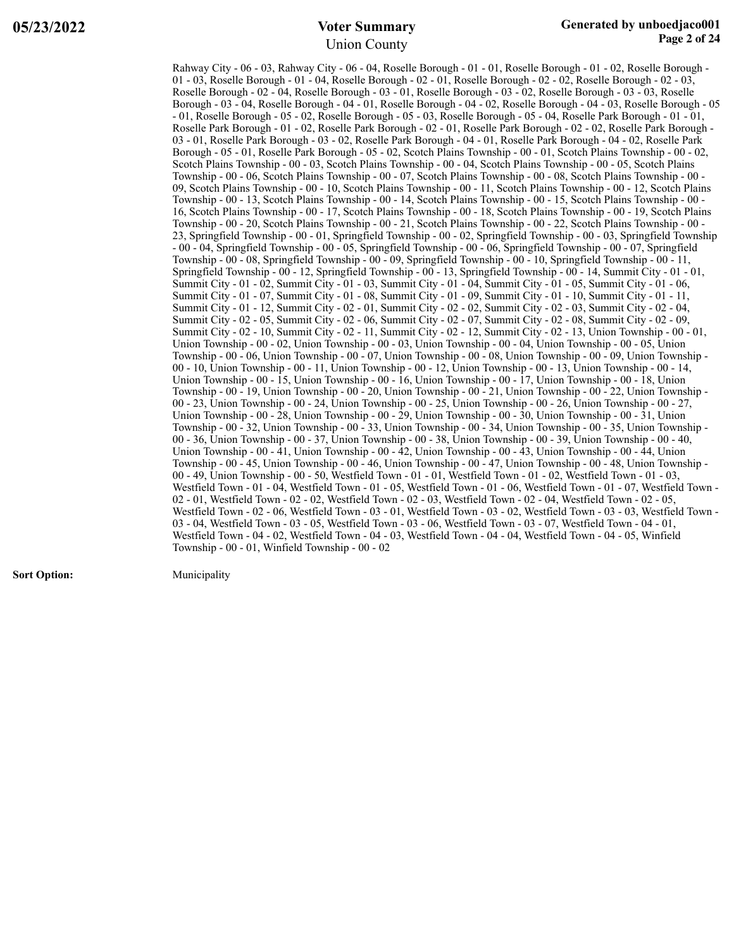Rahway City - 06 - 03, Rahway City - 06 - 04, Roselle Borough - 01 - 01, Roselle Borough - 01 - 02, Roselle Borough - 01 - 03, Roselle Borough - 01 - 04, Roselle Borough - 02 - 01, Roselle Borough - 02 - 02, Roselle Borough - 02 - 03, Roselle Borough - 02 - 04, Roselle Borough - 03 - 01, Roselle Borough - 03 - 02, Roselle Borough - 03 - 03, Roselle Borough - 03 - 04, Roselle Borough - 04 - 01, Roselle Borough - 04 - 02, Roselle Borough - 04 - 03, Roselle Borough - 05 - 01, Roselle Borough - 05 - 02, Roselle Borough - 05 - 03, Roselle Borough - 05 - 04, Roselle Park Borough - 01 - 01, Roselle Park Borough - 01 - 02, Roselle Park Borough - 02 - 01, Roselle Park Borough - 02 - 02, Roselle Park Borough - 03 - 01, Roselle Park Borough - 03 - 02, Roselle Park Borough - 04 - 01, Roselle Park Borough - 04 - 02, Roselle Park Borough - 05 - 01, Roselle Park Borough - 05 - 02, Scotch Plains Township - 00 - 01, Scotch Plains Township - 00 - 02, Scotch Plains Township - 00 - 03, Scotch Plains Township - 00 - 04, Scotch Plains Township - 00 - 05, Scotch Plains Township - 00 - 06, Scotch Plains Township - 00 - 07, Scotch Plains Township - 00 - 08, Scotch Plains Township - 00 - 09, Scotch Plains Township - 00 - 10, Scotch Plains Township - 00 - 11, Scotch Plains Township - 00 - 12, Scotch Plains Township - 00 - 13, Scotch Plains Township - 00 - 14, Scotch Plains Township - 00 - 15, Scotch Plains Township - 00 - 16, Scotch Plains Township - 00 - 17, Scotch Plains Township - 00 - 18, Scotch Plains Township - 00 - 19, Scotch Plains Township - 00 - 20, Scotch Plains Township - 00 - 21, Scotch Plains Township - 00 - 22, Scotch Plains Township - 00 - 23, Springfield Township - 00 - 01, Springfield Township - 00 - 02, Springfield Township - 00 - 03, Springfield Township - 00 - 04, Springfield Township - 00 - 05, Springfield Township - 00 - 06, Springfield Township - 00 - 07, Springfield Township - 00 - 08, Springfield Township - 00 - 09, Springfield Township - 00 - 10, Springfield Township - 00 - 11, Springfield Township - 00 - 12, Springfield Township - 00 - 13, Springfield Township - 00 - 14, Summit City - 01 - 01, Summit City - 01 - 02, Summit City - 01 - 03, Summit City - 01 - 04, Summit City - 01 - 05, Summit City - 01 - 06, Summit City - 01 - 07, Summit City - 01 - 08, Summit City - 01 - 09, Summit City - 01 - 10, Summit City - 01 - 11, Summit City - 01 - 12, Summit City - 02 - 01, Summit City - 02 - 02, Summit City - 02 - 03, Summit City - 02 - 04, Summit City - 02 - 05, Summit City - 02 - 06, Summit City - 02 - 07, Summit City - 02 - 08, Summit City - 02 - 09, Summit City - 02 - 10, Summit City - 02 - 11, Summit City - 02 - 12, Summit City - 02 - 13, Union Township - 00 - 01, Union Township - 00 - 02, Union Township - 00 - 03, Union Township - 00 - 04, Union Township - 00 - 05, Union Township - 00 - 06, Union Township - 00 - 07, Union Township - 00 - 08, Union Township - 00 - 09, Union Township - 00 - 10, Union Township - 00 - 11, Union Township - 00 - 12, Union Township - 00 - 13, Union Township - 00 - 14, Union Township - 00 - 15, Union Township - 00 - 16, Union Township - 00 - 17, Union Township - 00 - 18, Union Township - 00 - 19, Union Township - 00 - 20, Union Township - 00 - 21, Union Township - 00 - 22, Union Township - 00 - 23, Union Township - 00 - 24, Union Township - 00 - 25, Union Township - 00 - 26, Union Township - 00 - 27, Union Township - 00 - 28, Union Township - 00 - 29, Union Township - 00 - 30, Union Township - 00 - 31, Union Township - 00 - 32, Union Township - 00 - 33, Union Township - 00 - 34, Union Township - 00 - 35, Union Township - 00 - 36, Union Township - 00 - 37, Union Township - 00 - 38, Union Township - 00 - 39, Union Township - 00 - 40, Union Township - 00 - 41, Union Township - 00 - 42, Union Township - 00 - 43, Union Township - 00 - 44, Union Township - 00 - 45, Union Township - 00 - 46, Union Township - 00 - 47, Union Township - 00 - 48, Union Township - 00 - 49, Union Township - 00 - 50, Westfield Town - 01 - 01, Westfield Town - 01 - 02, Westfield Town - 01 - 03, Westfield Town - 01 - 04, Westfield Town - 01 - 05, Westfield Town - 01 - 06, Westfield Town - 01 - 07, Westfield Town - 02 - 01, Westfield Town - 02 - 02, Westfield Town - 02 - 03, Westfield Town - 02 - 04, Westfield Town - 02 - 05, Westfield Town - 02 - 06, Westfield Town - 03 - 01, Westfield Town - 03 - 02, Westfield Town - 03 - 03, Westfield Town - 03 - 04, Westfield Town - 03 - 05, Westfield Town - 03 - 06, Westfield Town - 03 - 07, Westfield Town - 04 - 01, Westfield Town - 04 - 02, Westfield Town - 04 - 03, Westfield Town - 04 - 04, Westfield Town - 04 - 05, Winfield Township - 00 - 01, Winfield Township - 00 - 02

**Sort Option:** Municipality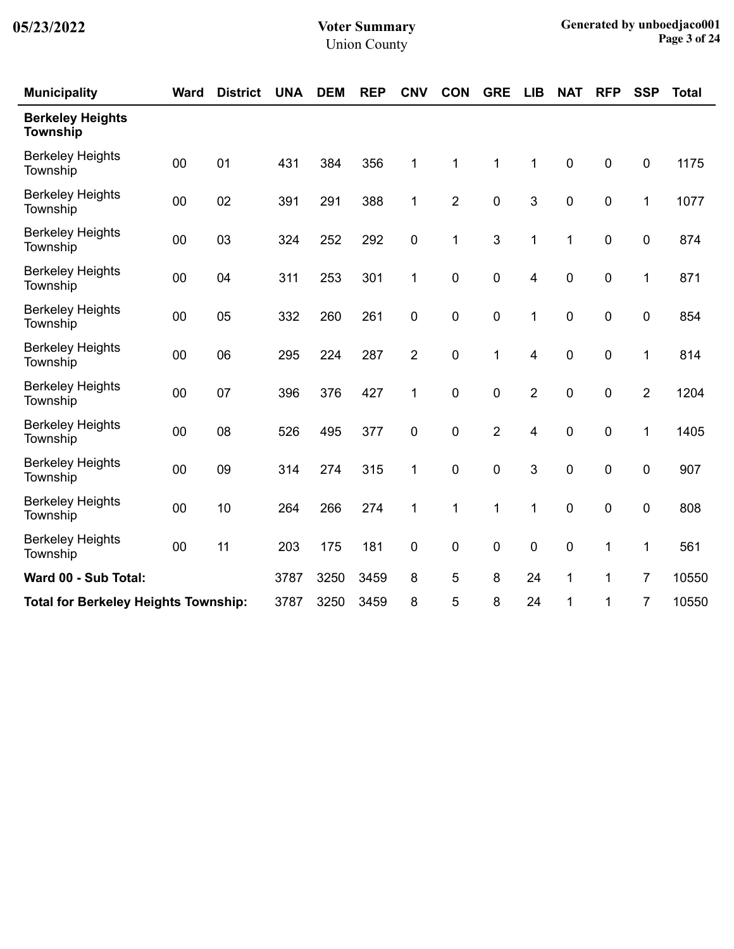| <b>Municipality</b>                         | <b>Ward</b> | <b>District</b> | <b>UNA</b> | <b>DEM</b> | <b>REP</b> | <b>CNV</b>     | <b>CON</b>     | <b>GRE</b>     | <b>LIB</b>              | <b>NAT</b>  | <b>RFP</b>  | <b>SSP</b>       | <b>Total</b> |
|---------------------------------------------|-------------|-----------------|------------|------------|------------|----------------|----------------|----------------|-------------------------|-------------|-------------|------------------|--------------|
| <b>Berkeley Heights</b><br><b>Township</b>  |             |                 |            |            |            |                |                |                |                         |             |             |                  |              |
| <b>Berkeley Heights</b><br>Township         | 00          | 01              | 431        | 384        | 356        | 1              | 1              | $\mathbf 1$    | $\mathbf 1$             | $\pmb{0}$   | 0           | $\boldsymbol{0}$ | 1175         |
| <b>Berkeley Heights</b><br>Township         | 00          | 02              | 391        | 291        | 388        | 1              | $\overline{2}$ | $\mathbf 0$    | 3                       | $\mathbf 0$ | 0           | 1                | 1077         |
| <b>Berkeley Heights</b><br>Township         | 00          | 03              | 324        | 252        | 292        | $\pmb{0}$      | 1              | $\mathbf{3}$   | $\mathbf{1}$            | 1           | $\mathbf 0$ | $\mathbf 0$      | 874          |
| <b>Berkeley Heights</b><br>Township         | 00          | 04              | 311        | 253        | 301        | 1              | $\pmb{0}$      | $\pmb{0}$      | 4                       | $\pmb{0}$   | $\pmb{0}$   | $\mathbf{1}$     | 871          |
| <b>Berkeley Heights</b><br>Township         | 00          | 05              | 332        | 260        | 261        | $\mathbf 0$    | 0              | $\mathbf 0$    | 1                       | $\mathbf 0$ | 0           | $\mathbf 0$      | 854          |
| <b>Berkeley Heights</b><br>Township         | 00          | 06              | 295        | 224        | 287        | $\overline{2}$ | $\pmb{0}$      | 1              | 4                       | $\pmb{0}$   | 0           | 1                | 814          |
| <b>Berkeley Heights</b><br>Township         | 00          | 07              | 396        | 376        | 427        | 1              | $\pmb{0}$      | $\pmb{0}$      | $\overline{2}$          | $\pmb{0}$   | 0           | $\overline{2}$   | 1204         |
| <b>Berkeley Heights</b><br>Township         | 00          | 08              | 526        | 495        | 377        | $\pmb{0}$      | 0              | $\overline{2}$ | $\overline{\mathbf{4}}$ | $\mathbf 0$ | $\mathbf 0$ | 1                | 1405         |
| <b>Berkeley Heights</b><br>Township         | 00          | 09              | 314        | 274        | 315        | 1              | $\mathbf 0$    | 0              | 3                       | $\mathbf 0$ | 0           | $\mathbf 0$      | 907          |
| <b>Berkeley Heights</b><br>Township         | 00          | 10              | 264        | 266        | 274        | 1              | 1              | 1              | 1                       | $\pmb{0}$   | 0           | $\boldsymbol{0}$ | 808          |
| <b>Berkeley Heights</b><br>Township         | 00          | 11              | 203        | 175        | 181        | 0              | $\mathbf 0$    | 0              | 0                       | $\pmb{0}$   | 1           | 1                | 561          |
| Ward 00 - Sub Total:                        |             |                 | 3787       | 3250       | 3459       | 8              | 5              | 8              | 24                      | 1           | 1           | $\overline{7}$   | 10550        |
| <b>Total for Berkeley Heights Township:</b> |             |                 | 3787       | 3250       | 3459       | 8              | 5              | 8              | 24                      | 1           | 1           | 7                | 10550        |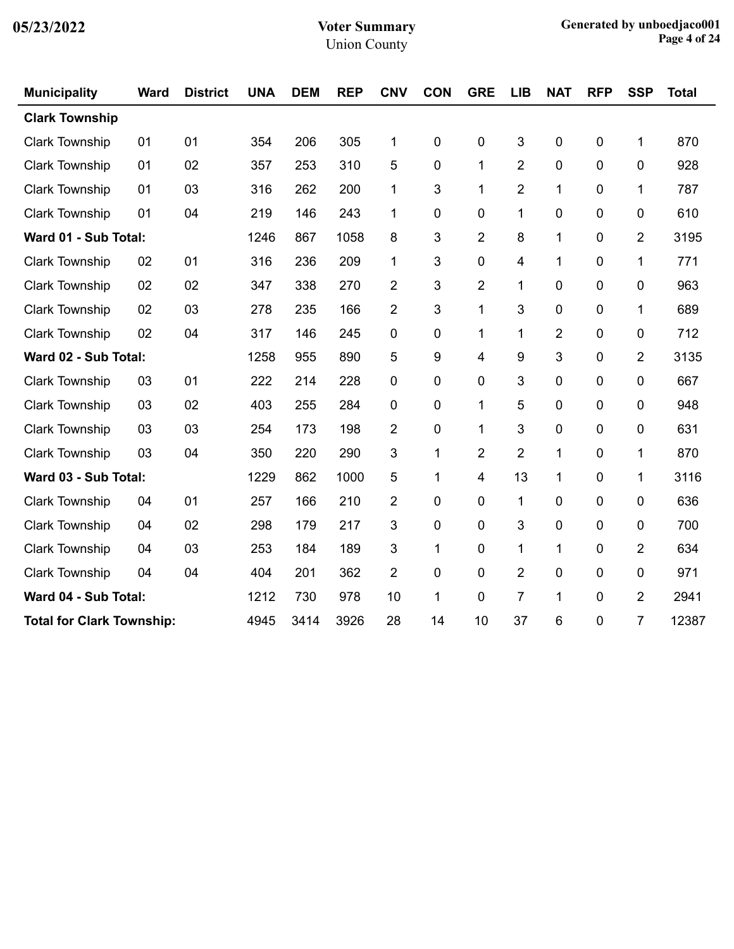| <b>Municipality</b>              | <b>Ward</b> | <b>District</b> | <b>UNA</b> | <b>DEM</b> | <b>REP</b> | <b>CNV</b>  | <b>CON</b> | <b>GRE</b>     | <b>LIB</b>     | <b>NAT</b>     | <b>RFP</b>  | <b>SSP</b>     | <b>Total</b> |
|----------------------------------|-------------|-----------------|------------|------------|------------|-------------|------------|----------------|----------------|----------------|-------------|----------------|--------------|
| <b>Clark Township</b>            |             |                 |            |            |            |             |            |                |                |                |             |                |              |
| <b>Clark Township</b>            | 01          | 01              | 354        | 206        | 305        | 1           | 0          | 0              | 3              | 0              | $\pmb{0}$   | 1              | 870          |
| <b>Clark Township</b>            | 01          | 02              | 357        | 253        | 310        | 5           | 0          | $\mathbf{1}$   | $\overline{2}$ | 0              | 0           | 0              | 928          |
| <b>Clark Township</b>            | 01          | 03              | 316        | 262        | 200        | 1           | 3          | 1              | $\overline{2}$ | 1              | $\mathbf 0$ | 1              | 787          |
| <b>Clark Township</b>            | 01          | 04              | 219        | 146        | 243        | $\mathbf 1$ | 0          | 0              | 1              | 0              | 0           | 0              | 610          |
| Ward 01 - Sub Total:             |             |                 | 1246       | 867        | 1058       | 8           | 3          | 2              | 8              | 1              | 0           | 2              | 3195         |
| <b>Clark Township</b>            | 02          | 01              | 316        | 236        | 209        | 1           | 3          | 0              | 4              | $\mathbf{1}$   | 0           | 1              | 771          |
| <b>Clark Township</b>            | 02          | 02              | 347        | 338        | 270        | 2           | 3          | 2              | $\mathbf{1}$   | 0              | 0           | 0              | 963          |
| <b>Clark Township</b>            | 02          | 03              | 278        | 235        | 166        | 2           | 3          | 1              | 3              | 0              | $\mathbf 0$ | 1              | 689          |
| <b>Clark Township</b>            | 02          | 04              | 317        | 146        | 245        | 0           | 0          | 1              | 1              | $\overline{2}$ | $\mathbf 0$ | 0              | 712          |
| Ward 02 - Sub Total:             |             |                 | 1258       | 955        | 890        | 5           | 9          | 4              | 9              | 3              | 0           | $\overline{2}$ | 3135         |
| <b>Clark Township</b>            | 03          | 01              | 222        | 214        | 228        | 0           | 0          | 0              | 3              | 0              | 0           | 0              | 667          |
| <b>Clark Township</b>            | 03          | 02              | 403        | 255        | 284        | 0           | 0          | 1              | 5              | $\mathbf 0$    | 0           | 0              | 948          |
| <b>Clark Township</b>            | 03          | 03              | 254        | 173        | 198        | 2           | 0          | 1              | 3              | 0              | 0           | 0              | 631          |
| <b>Clark Township</b>            | 03          | 04              | 350        | 220        | 290        | 3           | 1          | $\overline{2}$ | $\overline{2}$ | $\mathbf{1}$   | 0           | 1              | 870          |
| Ward 03 - Sub Total:             |             |                 | 1229       | 862        | 1000       | 5           | 1          | 4              | 13             | 1              | 0           | 1              | 3116         |
| <b>Clark Township</b>            | 04          | 01              | 257        | 166        | 210        | 2           | 0          | 0              | $\mathbf{1}$   | 0              | 0           | 0              | 636          |
| <b>Clark Township</b>            | 04          | 02              | 298        | 179        | 217        | 3           | 0          | 0              | 3              | 0              | 0           | 0              | 700          |
| <b>Clark Township</b>            | 04          | 03              | 253        | 184        | 189        | 3           | 1          | 0              | $\mathbf{1}$   | $\mathbf{1}$   | 0           | $\overline{2}$ | 634          |
| <b>Clark Township</b>            | 04          | 04              | 404        | 201        | 362        | 2           | 0          | 0              | $\overline{2}$ | 0              | 0           | 0              | 971          |
| Ward 04 - Sub Total:             |             |                 | 1212       | 730        | 978        | 10          | 1          | 0              | $\overline{7}$ | 1              | $\mathbf 0$ | $\overline{2}$ | 2941         |
| <b>Total for Clark Township:</b> |             |                 | 4945       | 3414       | 3926       | 28          | 14         | 10             | 37             | 6              | 0           | $\overline{7}$ | 12387        |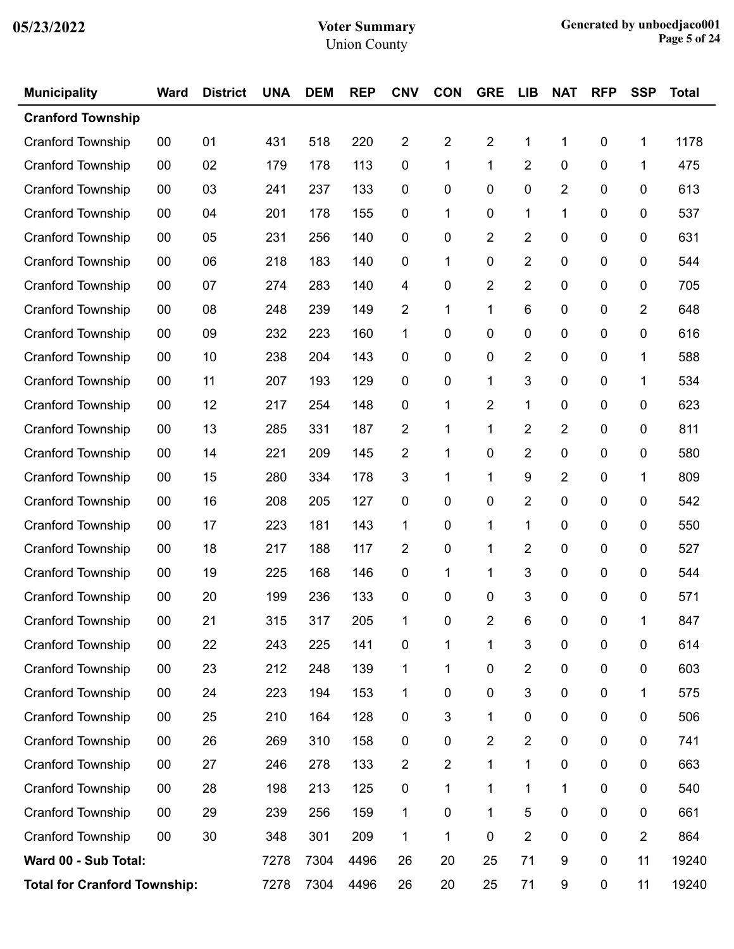| <b>Municipality</b>                 | <b>Ward</b> | <b>District</b> | <b>UNA</b> | <b>DEM</b> | <b>REP</b> | <b>CNV</b>              | <b>CON</b>     | <b>GRE</b>              | <b>LIB</b>     | <b>NAT</b>       | <b>RFP</b> | <b>SSP</b>     | <b>Total</b> |
|-------------------------------------|-------------|-----------------|------------|------------|------------|-------------------------|----------------|-------------------------|----------------|------------------|------------|----------------|--------------|
| <b>Cranford Township</b>            |             |                 |            |            |            |                         |                |                         |                |                  |            |                |              |
| <b>Cranford Township</b>            | 00          | 01              | 431        | 518        | 220        | $\overline{\mathbf{c}}$ | $\overline{2}$ | 2                       | 1              | 1                | 0          | 1              | 1178         |
| Cranford Township                   | 00          | 02              | 179        | 178        | 113        | $\pmb{0}$               | 1              | 1                       | $\overline{2}$ | 0                | $\pmb{0}$  | 1              | 475          |
| <b>Cranford Township</b>            | 00          | 03              | 241        | 237        | 133        | 0                       | 0              | 0                       | 0              | 2                | 0          | 0              | 613          |
| <b>Cranford Township</b>            | 00          | 04              | 201        | 178        | 155        | $\mathbf 0$             | 1              | 0                       | 1              | 1                | 0          | 0              | 537          |
| Cranford Township                   | 00          | 05              | 231        | 256        | 140        | $\pmb{0}$               | 0              | 2                       | $\overline{2}$ | 0                | $\pmb{0}$  | 0              | 631          |
| <b>Cranford Township</b>            | 00          | 06              | 218        | 183        | 140        | 0                       | 1              | 0                       | 2              | 0                | 0          | 0              | 544          |
| <b>Cranford Township</b>            | 00          | 07              | 274        | 283        | 140        | 4                       | 0              | 2                       | $\overline{2}$ | 0                | 0          | 0              | 705          |
| Cranford Township                   | $00\,$      | 08              | 248        | 239        | 149        | $\overline{c}$          | 1              | 1                       | 6              | 0                | $\pmb{0}$  | $\overline{2}$ | 648          |
| <b>Cranford Township</b>            | 00          | 09              | 232        | 223        | 160        | 1                       | 0              | 0                       | 0              | 0                | 0          | 0              | 616          |
| <b>Cranford Township</b>            | 00          | 10              | 238        | 204        | 143        | $\mathbf 0$             | 0              | 0                       | $\overline{2}$ | 0                | 0          | 1              | 588          |
| Cranford Township                   | 00          | 11              | 207        | 193        | 129        | 0                       | 0              | 1                       | 3              | 0                | $\pmb{0}$  | 1              | 534          |
| <b>Cranford Township</b>            | 00          | 12              | 217        | 254        | 148        | 0                       | 1              | 2                       | 1              | 0                | 0          | 0              | 623          |
| <b>Cranford Township</b>            | 00          | 13              | 285        | 331        | 187        | $\overline{2}$          | 1              | 1                       | $\overline{2}$ | $\overline{2}$   | 0          | 0              | 811          |
| Cranford Township                   | 00          | 14              | 221        | 209        | 145        | $\overline{c}$          | 1              | 0                       | $\overline{2}$ | 0                | $\pmb{0}$  | 0              | 580          |
| <b>Cranford Township</b>            | 00          | 15              | 280        | 334        | 178        | 3                       | 1              | 1                       | 9              | 2                | 0          | 1              | 809          |
| <b>Cranford Township</b>            | 00          | 16              | 208        | 205        | 127        | $\pmb{0}$               | 0              | 0                       | $\overline{2}$ | 0                | 0          | 0              | 542          |
| Cranford Township                   | 00          | 17              | 223        | 181        | 143        | 1                       | 0              | 1                       | $\mathbf 1$    | 0                | $\pmb{0}$  | 0              | 550          |
| <b>Cranford Township</b>            | 00          | 18              | 217        | 188        | 117        | 2                       | 0              | 1                       | 2              | 0                | 0          | 0              | 527          |
| <b>Cranford Township</b>            | 00          | 19              | 225        | 168        | 146        | $\pmb{0}$               | 1              | 1                       | 3              | 0                | 0          | 0              | 544          |
| <b>Cranford Township</b>            | 00          | 20              | 199        | 236        | 133        | 0                       | 0              | 0                       | 3              | 0                | 0          | 0              | 571          |
| Cranford Township                   | 00          | 21              | 315        | 317        | 205        | $\mathbf 1$             | 0              | 2                       | 6              | 0                | 0          | 1              | 847          |
| Cranford Township                   | $00\,$      | 22              | 243        | 225        | 141        | $\pmb{0}$               | 1              | 1                       | 3              | 0                | 0          | $\mathbf 0$    | 614          |
| Cranford Township                   | $00\,$      | 23              | 212        | 248        | 139        | 1                       | 1              | 0                       | $\overline{2}$ | 0                | $\pmb{0}$  | 0              | 603          |
| Cranford Township                   | $00\,$      | 24              | 223        | 194        | 153        | 1                       | 0              | 0                       | 3              | 0                | 0          | 1              | 575          |
| Cranford Township                   | $00\,$      | 25              | 210        | 164        | 128        | 0                       | 3              | 1                       | 0              | 0                | $\pmb{0}$  | 0              | 506          |
| Cranford Township                   | $00\,$      | 26              | 269        | 310        | 158        | $\pmb{0}$               | 0              | $\overline{\mathbf{c}}$ | $\overline{2}$ | 0                | $\pmb{0}$  | 0              | 741          |
| Cranford Township                   | $00\,$      | 27              | 246        | 278        | 133        | $\overline{2}$          | $\overline{2}$ | 1                       | $\mathbf 1$    | 0                | 0          | 0              | 663          |
| Cranford Township                   | $00\,$      | 28              | 198        | 213        | 125        | 0                       | 1              | 1                       | 1              | 1                | 0          | 0              | 540          |
| Cranford Township                   | $00\,$      | 29              | 239        | 256        | 159        | 1                       | 0              | 1                       | 5              | 0                | $\pmb{0}$  | 0              | 661          |
| Cranford Township                   | $00\,$      | 30              | 348        | 301        | 209        | 1                       | 1              | 0                       | $\overline{2}$ | 0                | 0          | $\overline{c}$ | 864          |
| Ward 00 - Sub Total:                |             |                 |            | 7304       | 4496       | 26                      | 20             | 25                      | 71             | 9                | $\pmb{0}$  | 11             | 19240        |
| <b>Total for Cranford Township:</b> |             |                 | 7278       | 7304       | 4496       | 26                      | 20             | 25                      | 71             | $\boldsymbol{9}$ | $\pmb{0}$  | 11             | 19240        |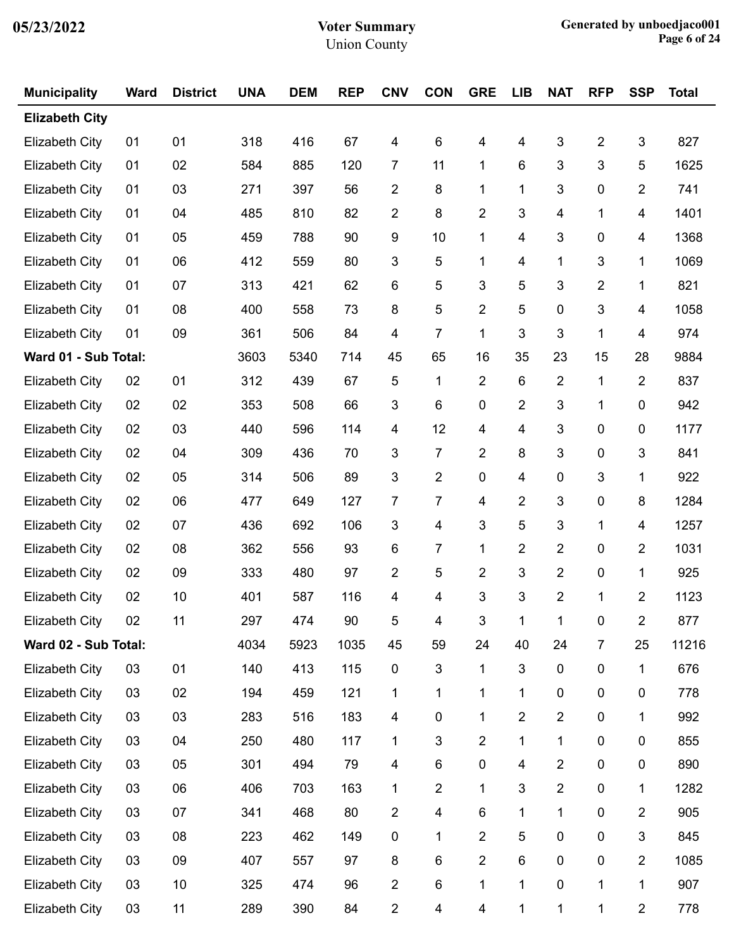| <b>Municipality</b>   | <b>Ward</b> | <b>District</b> | <b>UNA</b> | <b>DEM</b> | <b>REP</b> | <b>CNV</b>              | <b>CON</b>              | <b>GRE</b>     | <b>LIB</b>     | <b>NAT</b>     | <b>RFP</b>              | <b>SSP</b>     | <b>Total</b> |
|-----------------------|-------------|-----------------|------------|------------|------------|-------------------------|-------------------------|----------------|----------------|----------------|-------------------------|----------------|--------------|
| <b>Elizabeth City</b> |             |                 |            |            |            |                         |                         |                |                |                |                         |                |              |
| <b>Elizabeth City</b> | 01          | 01              | 318        | 416        | 67         | $\overline{\mathbf{4}}$ | 6                       | 4              | 4              | 3              | $\overline{\mathbf{c}}$ | 3              | 827          |
| <b>Elizabeth City</b> | 01          | 02              | 584        | 885        | 120        | $\overline{7}$          | 11                      | 1              | 6              | 3              | 3                       | 5              | 1625         |
| Elizabeth City        | 01          | 03              | 271        | 397        | 56         | 2                       | 8                       | 1              | 1              | 3              | 0                       | 2              | 741          |
| <b>Elizabeth City</b> | 01          | 04              | 485        | 810        | 82         | 2                       | 8                       | $\overline{c}$ | 3              | 4              | 1                       | 4              | 1401         |
| <b>Elizabeth City</b> | 01          | 05              | 459        | 788        | 90         | 9                       | 10                      | 1              | 4              | 3              | $\pmb{0}$               | 4              | 1368         |
| Elizabeth City        | 01          | 06              | 412        | 559        | 80         | 3                       | 5                       | 1              | 4              | 1              | 3                       | 1              | 1069         |
| <b>Elizabeth City</b> | 01          | 07              | 313        | 421        | 62         | 6                       | 5                       | 3              | 5              | 3              | $\overline{\mathbf{c}}$ | 1              | 821          |
| <b>Elizabeth City</b> | 01          | 08              | 400        | 558        | 73         | 8                       | 5                       | $\overline{2}$ | 5              | $\pmb{0}$      | 3                       | 4              | 1058         |
| Elizabeth City        | 01          | 09              | 361        | 506        | 84         | 4                       | $\overline{7}$          | 1              | 3              | 3              | 1                       | 4              | 974          |
| Ward 01 - Sub Total:  |             |                 | 3603       | 5340       | 714        | 45                      | 65                      | 16             | 35             | 23             | 15                      | 28             | 9884         |
| <b>Elizabeth City</b> | 02          | 01              | 312        | 439        | 67         | 5                       | $\mathbf{1}$            | $\overline{2}$ | $\,6$          | $\overline{2}$ | 1                       | $\overline{2}$ | 837          |
| Elizabeth City        | 02          | 02              | 353        | 508        | 66         | 3                       | 6                       | 0              | 2              | 3              | 1                       | $\mathbf 0$    | 942          |
| Elizabeth City        | 02          | 03              | 440        | 596        | 114        | 4                       | 12                      | 4              | 4              | 3              | $\pmb{0}$               | 0              | 1177         |
| Elizabeth City        | 02          | 04              | 309        | 436        | 70         | 3                       | $\overline{7}$          | $\overline{2}$ | 8              | 3              | $\pmb{0}$               | 3              | 841          |
| <b>Elizabeth City</b> | 02          | 05              | 314        | 506        | 89         | 3                       | $\overline{2}$          | 0              | $\overline{4}$ | $\pmb{0}$      | 3                       | 1              | 922          |
| Elizabeth City        | 02          | 06              | 477        | 649        | 127        | 7                       | $\overline{7}$          | 4              | 2              | 3              | $\pmb{0}$               | 8              | 1284         |
| Elizabeth City        | 02          | 07              | 436        | 692        | 106        | 3                       | 4                       | 3              | 5              | 3              | 1                       | 4              | 1257         |
| <b>Elizabeth City</b> | 02          | 08              | 362        | 556        | 93         | 6                       | $\overline{7}$          | 1              | $\overline{2}$ | $\overline{2}$ | 0                       | 2              | 1031         |
| Elizabeth City        | 02          | 09              | 333        | 480        | 97         | 2                       | 5                       | $\overline{c}$ | 3              | $\overline{2}$ | $\pmb{0}$               | 1              | 925          |
| <b>Elizabeth City</b> | 02          | 10              | 401        | 587        | 116        | 4                       | 4                       | 3              | 3              | $\overline{2}$ | 1                       | $\overline{2}$ | 1123         |
| <b>Elizabeth City</b> | 02          | 11              | 297        | 474        | $90\,$     | 5                       | 4                       | 3              | $\mathbf{1}$   | $\mathbf{1}$   | $\mathbf 0$             | $\overline{2}$ | 877          |
| Ward 02 - Sub Total:  |             |                 | 4034       | 5923       | 1035       | 45                      | 59                      | 24             | 40             | 24             | $\overline{7}$          | 25             | 11216        |
| <b>Elizabeth City</b> | 03          | 01              | 140        | 413        | 115        | $\pmb{0}$               | $\mathbf{3}$            | 1              | $\sqrt{3}$     | $\pmb{0}$      | $\pmb{0}$               | 1              | 676          |
| <b>Elizabeth City</b> | 03          | 02              | 194        | 459        | 121        | 1                       | 1                       | 1              | 1              | 0              | 0                       | 0              | 778          |
| <b>Elizabeth City</b> | 03          | 03              | 283        | 516        | 183        | 4                       | $\pmb{0}$               | 1              | $\overline{2}$ | $\overline{2}$ | $\pmb{0}$               | 1              | 992          |
| <b>Elizabeth City</b> | 03          | 04              | 250        | 480        | 117        | 1                       | $\mathbf{3}$            | $\overline{2}$ | 1              | $\mathbf 1$    | $\pmb{0}$               | $\pmb{0}$      | 855          |
| <b>Elizabeth City</b> | 03          | 05              | 301        | 494        | 79         | 4                       | 6                       | 0              | $\overline{4}$ | $\overline{2}$ | 0                       | 0              | 890          |
| <b>Elizabeth City</b> | 03          | 06              | 406        | 703        | 163        | 1                       | $\overline{2}$          | 1              | 3              | $\overline{2}$ | $\pmb{0}$               | 1              | 1282         |
| <b>Elizabeth City</b> | 03          | 07              | 341        | 468        | 80         | $\overline{2}$          | $\overline{\mathbf{4}}$ | 6              | 1              | $\mathbf 1$    | $\pmb{0}$               | $\mathbf 2$    | 905          |
| <b>Elizabeth City</b> | 03          | 08              | 223        | 462        | 149        | 0                       | 1                       | $\overline{2}$ | 5              | 0              | $\pmb{0}$               | 3              | 845          |
| <b>Elizabeth City</b> | 03          | 09              | 407        | 557        | 97         | 8                       | 6                       | $\overline{2}$ | 6              | $\pmb{0}$      | $\pmb{0}$               | $\overline{2}$ | 1085         |
| <b>Elizabeth City</b> | 03          | 10              | 325        | 474        | 96         | $\mathbf{2}$            | 6                       | 1              | $\mathbf{1}$   | $\pmb{0}$      | 1                       | $\mathbf{1}$   | 907          |
| <b>Elizabeth City</b> | 03          | 11              | 289        | 390        | 84         | $\overline{2}$          | 4                       | 4              | 1              | $\mathbf{1}$   | 1                       | $\overline{2}$ | 778          |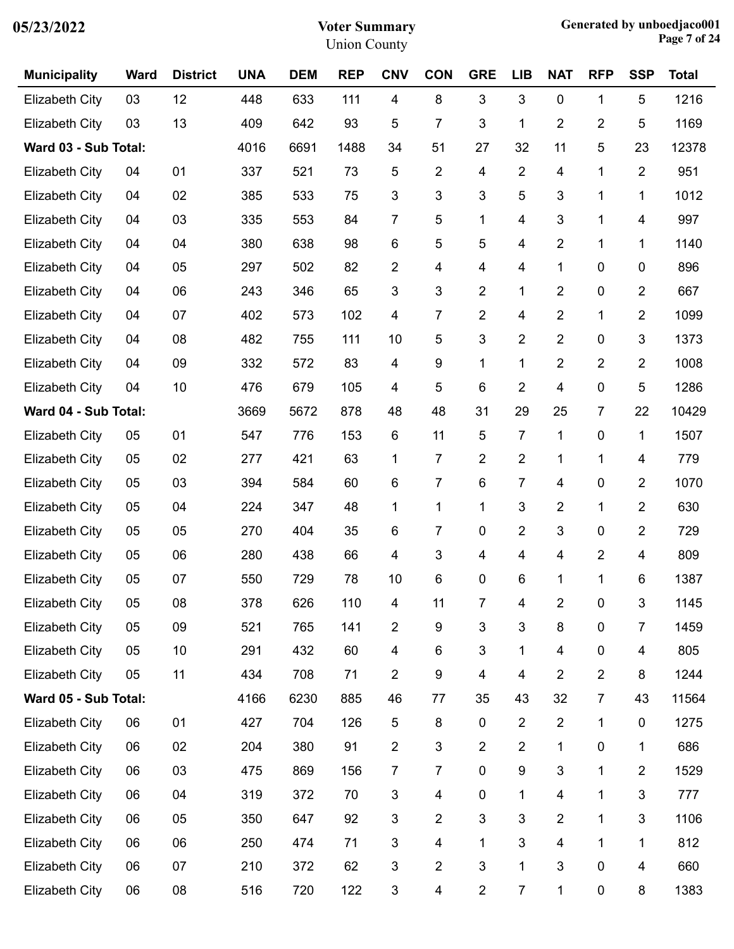| 05/23/2022 |  |
|------------|--|
|------------|--|

| <b>Municipality</b>   | <b>Ward</b> | <b>District</b> | <b>UNA</b> | <b>DEM</b> | <b>REP</b> | <b>CNV</b>              | <b>CON</b>              | <b>GRE</b>     | <b>LIB</b>     | <b>NAT</b>              | <b>RFP</b>     | <b>SSP</b>     | <b>Total</b> |
|-----------------------|-------------|-----------------|------------|------------|------------|-------------------------|-------------------------|----------------|----------------|-------------------------|----------------|----------------|--------------|
| <b>Elizabeth City</b> | 03          | 12              | 448        | 633        | 111        | 4                       | 8                       | 3              | 3              | $\mathbf 0$             | 1              | 5              | 1216         |
| <b>Elizabeth City</b> | 03          | 13              | 409        | 642        | 93         | 5                       | $\overline{7}$          | 3              | 1              | $\overline{2}$          | 2              | 5              | 1169         |
| Ward 03 - Sub Total:  |             |                 | 4016       | 6691       | 1488       | 34                      | 51                      | 27             | 32             | 11                      | 5              | 23             | 12378        |
| <b>Elizabeth City</b> | 04          | 01              | 337        | 521        | 73         | 5                       | $\overline{2}$          | 4              | $\overline{2}$ | 4                       | 1              | $\overline{2}$ | 951          |
| <b>Elizabeth City</b> | 04          | 02              | 385        | 533        | 75         | 3                       | 3                       | 3              | 5              | 3                       | 1              | 1              | 1012         |
| <b>Elizabeth City</b> | 04          | 03              | 335        | 553        | 84         | 7                       | 5                       | 1              | 4              | $\mathfrak{S}$          | 1              | 4              | 997          |
| <b>Elizabeth City</b> | 04          | 04              | 380        | 638        | 98         | 6                       | 5                       | 5              | 4              | $\overline{2}$          | 1              | 1              | 1140         |
| <b>Elizabeth City</b> | 04          | 05              | 297        | 502        | 82         | $\overline{2}$          | 4                       | 4              | 4              | 1                       | 0              | 0              | 896          |
| <b>Elizabeth City</b> | 04          | 06              | 243        | 346        | 65         | 3                       | $\mathfrak{S}$          | $\overline{2}$ | 1              | $\overline{2}$          | 0              | $\overline{2}$ | 667          |
| <b>Elizabeth City</b> | 04          | 07              | 402        | 573        | 102        | 4                       | $\overline{7}$          | $\overline{2}$ | 4              | $\overline{2}$          | 1              | $\overline{2}$ | 1099         |
| <b>Elizabeth City</b> | 04          | 08              | 482        | 755        | 111        | 10                      | 5                       | 3              | $\overline{2}$ | $\overline{2}$          | 0              | 3              | 1373         |
| <b>Elizabeth City</b> | 04          | 09              | 332        | 572        | 83         | 4                       | 9                       | 1              | 1              | $\overline{2}$          | 2              | $\overline{2}$ | 1008         |
| <b>Elizabeth City</b> | 04          | 10              | 476        | 679        | 105        | 4                       | 5                       | 6              | $\overline{2}$ | $\overline{\mathbf{4}}$ | 0              | 5              | 1286         |
| Ward 04 - Sub Total:  |             |                 | 3669       | 5672       | 878        | 48                      | 48                      | 31             | 29             | 25                      | 7              | 22             | 10429        |
| <b>Elizabeth City</b> | 05          | 01              | 547        | 776        | 153        | 6                       | 11                      | 5              | 7              | 1                       | 0              | 1              | 1507         |
| <b>Elizabeth City</b> | 05          | 02              | 277        | 421        | 63         | 1                       | $\overline{7}$          | $\overline{2}$ | $\overline{2}$ | 1                       | 1              | 4              | 779          |
| <b>Elizabeth City</b> | 05          | 03              | 394        | 584        | 60         | 6                       | $\overline{7}$          | 6              | $\overline{7}$ | 4                       | 0              | $\overline{2}$ | 1070         |
| <b>Elizabeth City</b> | 05          | 04              | 224        | 347        | 48         | 1                       | $\mathbf 1$             | 1              | 3              | $\overline{2}$          | 1              | $\overline{2}$ | 630          |
| Elizabeth City        | 05          | 05              | 270        | 404        | 35         | 6                       | $\overline{7}$          | 0              | $\overline{2}$ | $\mathfrak{S}$          | 0              | $\overline{2}$ | 729          |
| <b>Elizabeth City</b> | 05          | 06              | 280        | 438        | 66         | 4                       | 3                       | 4              | 4              | 4                       | $\overline{c}$ | 4              | 809          |
| <b>Elizabeth City</b> | 05          | 07              | 550        | 729        | 78         | 10                      | 6                       | 0              | 6              | 1                       | 1              | 6              | 1387         |
| <b>Elizabeth City</b> | 05          | 08              | 378        | 626        | 110        | 4                       | 11                      | 7              | 4              | 2                       | 0              | 3              | 1145         |
| <b>Elizabeth City</b> | 05          | 09              | 521        | 765        | 141        | $\overline{c}$          | $\boldsymbol{9}$        | 3              | 3              | 8                       | $\pmb{0}$      | $\overline{7}$ | 1459         |
| <b>Elizabeth City</b> | 05          | 10              | 291        | 432        | 60         | $\overline{\mathbf{4}}$ | 6                       | 3              | 1              | $\overline{\mathbf{4}}$ | $\pmb{0}$      | 4              | 805          |
| <b>Elizabeth City</b> | 05          | 11              | 434        | 708        | 71         | 2                       | 9                       | 4              | 4              | $\overline{2}$          | $\overline{2}$ | 8              | 1244         |
| Ward 05 - Sub Total:  |             |                 | 4166       | 6230       | 885        | 46                      | 77                      | 35             | 43             | 32                      | 7              | 43             | 11564        |
| <b>Elizabeth City</b> | 06          | 01              | 427        | 704        | 126        | 5                       | 8                       | $\pmb{0}$      | $\overline{2}$ | $\overline{2}$          | 1              | $\pmb{0}$      | 1275         |
| <b>Elizabeth City</b> | 06          | 02              | 204        | 380        | 91         | 2                       | $\sqrt{3}$              | $\overline{2}$ | $\overline{2}$ | $\mathbf 1$             | 0              | 1              | 686          |
| <b>Elizabeth City</b> | 06          | 03              | 475        | 869        | 156        | 7                       | $\overline{7}$          | $\pmb{0}$      | 9              | $\sqrt{3}$              | 1              | $\overline{2}$ | 1529         |
| <b>Elizabeth City</b> | 06          | 04              | 319        | 372        | 70         | 3                       | 4                       | $\pmb{0}$      | 1              | $\overline{\mathbf{4}}$ | 1              | 3              | 777          |
| <b>Elizabeth City</b> | 06          | 05              | 350        | 647        | 92         | 3                       | $\overline{c}$          | 3              | 3              | $\overline{2}$          | 1              | 3              | 1106         |
| <b>Elizabeth City</b> | 06          | 06              | 250        | 474        | 71         | 3                       | $\overline{\mathbf{4}}$ | 1              | 3              | $\overline{\mathbf{4}}$ | 1              | 1              | 812          |
| <b>Elizabeth City</b> | 06          | 07              | 210        | 372        | 62         | 3                       | $\overline{2}$          | 3              | 1              | $\sqrt{3}$              | $\pmb{0}$      | 4              | 660          |
| <b>Elizabeth City</b> | 06          | 08              | 516        | 720        | 122        | 3                       | $\overline{\mathbf{4}}$ | $\overline{2}$ | $\overline{7}$ | 1                       | 0              | 8              | 1383         |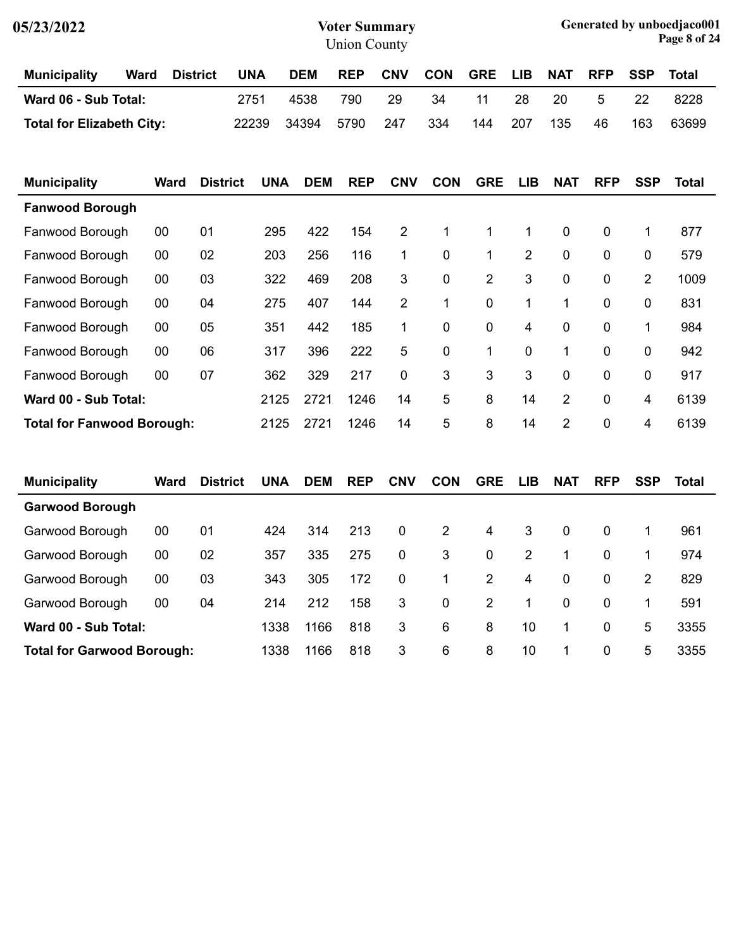| 05/23/2022                       |             |             |                 |            |            | <b>Voter Summary</b><br><b>Union County</b> |                |            |            |                |             |             |              | Generated by unboedjaco001<br>Page 8 of 24 |
|----------------------------------|-------------|-------------|-----------------|------------|------------|---------------------------------------------|----------------|------------|------------|----------------|-------------|-------------|--------------|--------------------------------------------|
| <b>Municipality</b>              | <b>Ward</b> |             | <b>District</b> | <b>UNA</b> | <b>DEM</b> | <b>REP</b>                                  | <b>CNV</b>     | <b>CON</b> | <b>GRE</b> | <b>LIB</b>     | <b>NAT</b>  | <b>RFP</b>  | <b>SSP</b>   | Total                                      |
| Ward 06 - Sub Total:             |             |             |                 | 2751       | 4538       | 790                                         | 29             | 34         | 11         | 28             | 20          | 5           | 22           | 8228                                       |
| <b>Total for Elizabeth City:</b> |             |             |                 | 22239      | 34394      | 5790                                        | 247            | 334        | 144        | 207            | 135         | 46          | 163          | 63699                                      |
| <b>Municipality</b>              |             | <b>Ward</b> | <b>District</b> | <b>UNA</b> | <b>DEM</b> | <b>REP</b>                                  | <b>CNV</b>     | <b>CON</b> | <b>GRE</b> | <b>LIB</b>     | <b>NAT</b>  | <b>RFP</b>  | <b>SSP</b>   | Total                                      |
| <b>Fanwood Borough</b>           |             |             |                 |            |            |                                             |                |            |            |                |             |             |              |                                            |
| Fanwood Borough                  | 00          |             | 01              | 295        | 422        | 154                                         | $\overline{2}$ | 1          | 1          | 1              | $\mathbf 0$ | $\mathbf 0$ | 1            | 877                                        |
| Fanwood Borough                  | 00          |             | 02              | 203        | 256        | 116.                                        | 1              | $\Omega$   | 1.         | $\overline{2}$ | - റ         | $\Omega$    | <sup>0</sup> | 579                                        |

| <b>Total for Fanwood Borough:</b> |    |     | 2125 | 2721 | 1246  | 14 | 5 | 8              | 14           | 2            | $\Omega$     | 4              | 6139 |
|-----------------------------------|----|-----|------|------|-------|----|---|----------------|--------------|--------------|--------------|----------------|------|
| Ward 00 - Sub Total:              |    |     | 2125 | 2721 | 1246  | 14 | 5 | 8              | 14           | 2            | $\mathbf{0}$ | 4              | 6139 |
| Fanwood Borough                   | 00 | 07  | 362  | 329  | 217   | 0  | 3 | 3              | 3            | $\mathbf 0$  | 0            | 0              | 917  |
| Fanwood Borough                   | 00 | 06  | 317  | 396  | 222   | 5  | 0 |                | $\mathbf{0}$ | 1            | 0            | 0              | 942  |
| Fanwood Borough                   | 00 | 05  | 351  | 442  | 185   | 1  | 0 | $\mathbf{0}$   | 4            | $\mathbf{0}$ | $\Omega$     | 1              | 984  |
| Fanwood Borough                   | 00 | 04  | 275  | 407  | 144   | 2  | 1 | $\mathbf{0}$   |              |              | 0            | 0              | 831  |
| Fanwood Borough                   | 00 | 03  | 322  | 469  | 208   | 3  | 0 | $\overline{2}$ | 3            | 0            | 0            | $\overline{2}$ | 1009 |
| Fanwood Borough                   | 00 | 02  | 203  | 256  | 116   | 1  | 0 |                | 2            | 0            | 0            | 0              | 579  |
| i aliwuuu Duluuyii                | υv | U I | ∠ບ   | ᅲᄼᄼ  | יד שו | ∠  |   |                |              | ◡            | v            |                | 011  |

| <b>Municipality</b>               | Ward | <b>District</b> | <b>UNA</b> | <b>DEM</b> | <b>REP</b> | <b>CNV</b>   | <b>CON</b>   | <b>GRE</b>   | <b>LIB</b> | <b>NAT</b>  | <b>RFP</b>  | <b>SSP</b> | Total |
|-----------------------------------|------|-----------------|------------|------------|------------|--------------|--------------|--------------|------------|-------------|-------------|------------|-------|
| <b>Garwood Borough</b>            |      |                 |            |            |            |              |              |              |            |             |             |            |       |
| Garwood Borough                   | 00   | 01              | 424        | 314        | 213        | $\mathbf{0}$ | 2            | 4            | 3          | $\Omega$    | $\mathbf 0$ |            | 961   |
| Garwood Borough                   | 00   | 02              | 357        | 335        | 275        | 0            | 3            | $\mathbf{0}$ | 2          | 1.          | $\mathbf 0$ |            | 974   |
| Garwood Borough                   | 00   | 03              | 343        | 305        | 172        | $\mathbf 0$  | 1            | 2            | 4          | $\mathbf 0$ | $\mathbf 0$ | 2          | 829   |
| Garwood Borough                   | 00   | 04              | 214        | 212        | 158        | 3            | $\mathbf{0}$ | 2            | 1          | $\Omega$    | 0           | 1          | 591   |
| Ward 00 - Sub Total:              |      |                 | 1338       | 1166       | 818        | 3            | 6            | 8            | 10         | 1.          | $\mathbf 0$ | 5          | 3355  |
| <b>Total for Garwood Borough:</b> |      |                 | 1338       | 1166       | 818        | 3            | 6            | 8            | 10         | 1.          | $\mathbf 0$ | 5          | 3355  |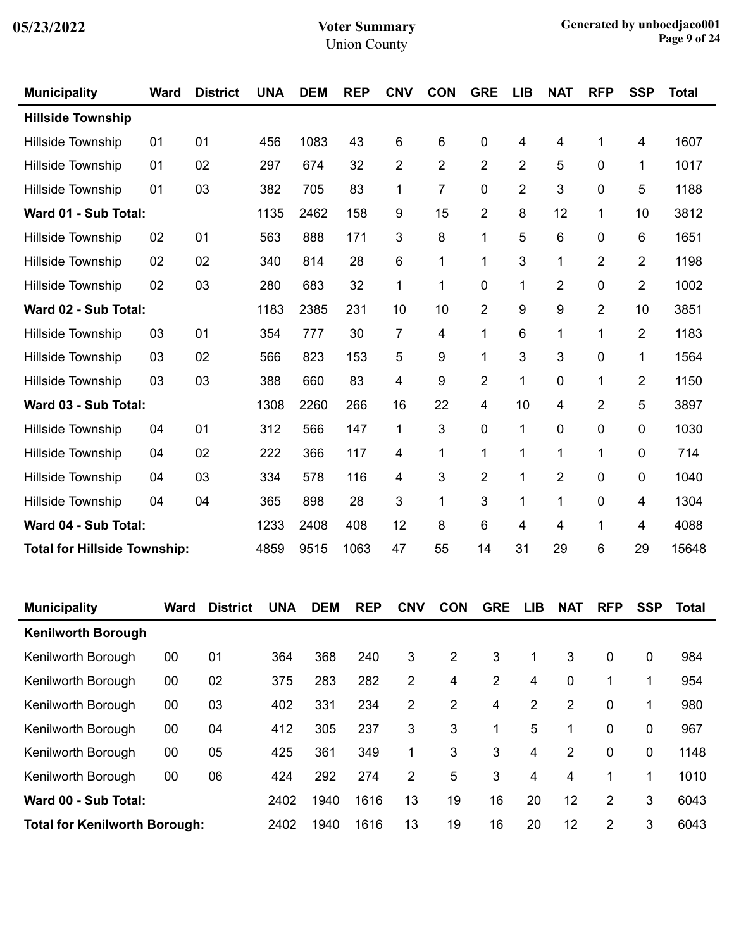| <b>Municipality</b>                 | <b>Ward</b> | <b>District</b> | <b>UNA</b> | <b>DEM</b> | <b>REP</b> | <b>CNV</b>     | <b>CON</b>     | <b>GRE</b>     | <b>LIB</b>     | <b>NAT</b>     | <b>RFP</b>     | <b>SSP</b>     | <b>Total</b> |
|-------------------------------------|-------------|-----------------|------------|------------|------------|----------------|----------------|----------------|----------------|----------------|----------------|----------------|--------------|
| <b>Hillside Township</b>            |             |                 |            |            |            |                |                |                |                |                |                |                |              |
| Hillside Township                   | 01          | 01              | 456        | 1083       | 43         | 6              | 6              | 0              | 4              | 4              | 1              | 4              | 1607         |
| Hillside Township                   | 01          | 02              | 297        | 674        | 32         | $\overline{2}$ | $\overline{2}$ | $\overline{2}$ | $\overline{2}$ | 5              | 0              | 1              | 1017         |
| Hillside Township                   | 01          | 03              | 382        | 705        | 83         | 1              | $\overline{7}$ | 0              | $\overline{2}$ | 3              | 0              | 5              | 1188         |
| Ward 01 - Sub Total:                |             |                 | 1135       | 2462       | 158        | 9              | 15             | $\overline{2}$ | 8              | 12             | 1              | 10             | 3812         |
| Hillside Township                   | 02          | 01              | 563        | 888        | 171        | 3              | 8              | 1              | 5              | 6              | 0              | 6              | 1651         |
| Hillside Township                   | 02          | 02              | 340        | 814        | 28         | 6              | $\mathbf{1}$   | 1              | 3              | $\mathbf 1$    | 2              | 2              | 1198         |
| Hillside Township                   | 02          | 03              | 280        | 683        | 32         | 1              | $\mathbf{1}$   | 0              | 1              | $\overline{2}$ | 0              | $\overline{2}$ | 1002         |
| Ward 02 - Sub Total:                |             |                 | 1183       | 2385       | 231        | 10             | 10             | $\overline{2}$ | 9              | 9              | $\overline{2}$ | 10             | 3851         |
| Hillside Township                   | 03          | 01              | 354        | 777        | 30         | $\overline{7}$ | 4              | 1              | 6              | 1              | 1              | $\overline{2}$ | 1183         |
| Hillside Township                   | 03          | 02              | 566        | 823        | 153        | 5              | 9              | 1              | 3              | 3              | 0              | 1              | 1564         |
| <b>Hillside Township</b>            | 03          | 03              | 388        | 660        | 83         | 4              | 9              | $\overline{2}$ | 1              | 0              | 1              | $\overline{2}$ | 1150         |
| Ward 03 - Sub Total:                |             |                 | 1308       | 2260       | 266        | 16             | 22             | 4              | 10             | 4              | 2              | 5              | 3897         |
| Hillside Township                   | 04          | 01              | 312        | 566        | 147        | $\mathbf 1$    | 3              | 0              | 1              | 0              | 0              | 0              | 1030         |
| Hillside Township                   | 04          | 02              | 222        | 366        | 117        | 4              | $\mathbf{1}$   | 1              | 1              | 1              | 1              | 0              | 714          |
| Hillside Township                   | 04          | 03              | 334        | 578        | 116        | 4              | 3              | $\overline{2}$ | 1              | $\overline{2}$ | 0              | 0              | 1040         |
| Hillside Township                   | 04          | 04              | 365        | 898        | 28         | 3              | $\mathbf 1$    | 3              | 1              | 1              | 0              | 4              | 1304         |
| Ward 04 - Sub Total:                |             |                 |            | 2408       | 408        | 12             | 8              | 6              | 4              | 4              | 1              | 4              | 4088         |
| <b>Total for Hillside Township:</b> |             |                 | 4859       | 9515       | 1063       | 47             | 55             | 14             | 31             | 29             | 6              | 29             | 15648        |

| <b>Municipality</b>                  | Ward | <b>District</b> | <b>UNA</b> | <b>DEM</b> | <b>REP</b> | <b>CNV</b>     | <b>CON</b> | <b>GRE</b> | <b>LIB</b> | <b>NAT</b> | <b>RFP</b>  | <b>SSP</b>  | Total |
|--------------------------------------|------|-----------------|------------|------------|------------|----------------|------------|------------|------------|------------|-------------|-------------|-------|
| <b>Kenilworth Borough</b>            |      |                 |            |            |            |                |            |            |            |            |             |             |       |
| Kenilworth Borough                   | 00   | 01              | 364        | 368        | 240        | 3              | 2          | 3          | 1          | 3          | $\mathbf 0$ | $\mathbf 0$ | 984   |
| Kenilworth Borough                   | 00   | 02              | 375        | 283        | 282        | 2              | 4          | 2          | 4          | 0          |             | 1           | 954   |
| Kenilworth Borough                   | 00   | 03              | 402        | 331        | 234        | 2              | 2          | 4          | 2          | 2          | 0           |             | 980   |
| Kenilworth Borough                   | 00   | 04              | 412        | 305        | 237        | 3              | 3          | 1          | 5          | 1          | 0           | 0           | 967   |
| Kenilworth Borough                   | 00   | 05              | 425        | 361        | 349        | $\mathbf{1}$   | 3          | 3          | 4          | 2          | 0           | 0           | 1148  |
| Kenilworth Borough                   | 00   | 06              | 424        | 292        | 274        | $\overline{2}$ | 5          | 3          | 4          | 4          | 1           | 1           | 1010  |
| Ward 00 - Sub Total:                 |      |                 | 2402       | 1940       | 1616       | 13             | 19         | 16         | 20         | 12         | 2           | 3           | 6043  |
| <b>Total for Kenilworth Borough:</b> |      |                 | 2402       | 1940       | 1616       | 13             | 19         | 16         | 20         | 12         | 2           | 3           | 6043  |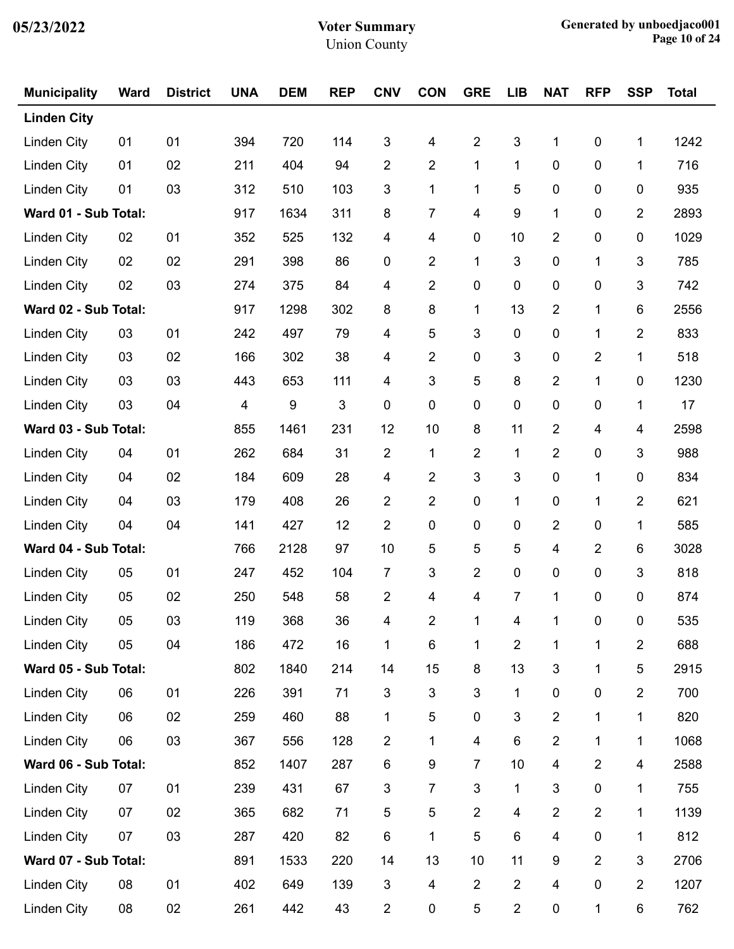| <b>Municipality</b>  | <b>Ward</b> | <b>District</b> | <b>UNA</b> | <b>DEM</b>       | <b>REP</b>                | <b>CNV</b>     | <b>CON</b>              | <b>GRE</b>     | <b>LIB</b>     | <b>NAT</b>     | <b>RFP</b>     | <b>SSP</b>              | <b>Total</b> |
|----------------------|-------------|-----------------|------------|------------------|---------------------------|----------------|-------------------------|----------------|----------------|----------------|----------------|-------------------------|--------------|
| <b>Linden City</b>   |             |                 |            |                  |                           |                |                         |                |                |                |                |                         |              |
| <b>Linden City</b>   | 01          | 01              | 394        | 720              | 114                       | 3              | 4                       | $\overline{2}$ | 3              | 1              | $\pmb{0}$      | 1                       | 1242         |
| <b>Linden City</b>   | 01          | 02              | 211        | 404              | 94                        | 2              | 2                       | $\mathbf 1$    | 1              | 0              | 0              | 1                       | 716          |
| Linden City          | 01          | 03              | 312        | 510              | 103                       | 3              | 1                       | 1              | 5              | 0              | 0              | 0                       | 935          |
| Ward 01 - Sub Total: |             |                 | 917        | 1634             | 311                       | 8              | 7                       | 4              | 9              | 1              | 0              | $\overline{2}$          | 2893         |
| Linden City          | 02          | 01              | 352        | 525              | 132                       | 4              | 4                       | $\pmb{0}$      | 10             | $\overline{2}$ | 0              | 0                       | 1029         |
| Linden City          | 02          | 02              | 291        | 398              | 86                        | 0              | 2                       | $\mathbf 1$    | 3              | 0              | 1              | 3                       | 785          |
| <b>Linden City</b>   | 02          | 03              | 274        | 375              | 84                        | 4              | 2                       | $\pmb{0}$      | 0              | 0              | 0              | 3                       | 742          |
| Ward 02 - Sub Total: |             |                 | 917        | 1298             | 302                       | 8              | 8                       | 1              | 13             | $\overline{2}$ | 1              | $\,6$                   | 2556         |
| <b>Linden City</b>   | 03          | 01              | 242        | 497              | 79                        | 4              | 5                       | 3              | 0              | 0              | 1              | $\overline{\mathbf{c}}$ | 833          |
| <b>Linden City</b>   | 03          | 02              | 166        | 302              | 38                        | 4              | 2                       | $\pmb{0}$      | 3              | 0              | 2              | 1                       | 518          |
| <b>Linden City</b>   | 03          | 03              | 443        | 653              | 111                       | 4              | 3                       | 5              | 8              | $\overline{2}$ | $\mathbf{1}$   | $\pmb{0}$               | 1230         |
| Linden City          | 03          | 04              | 4          | $\boldsymbol{9}$ | $\ensuremath{\mathsf{3}}$ | 0              | $\pmb{0}$               | $\pmb{0}$      | 0              | 0              | 0              | 1                       | 17           |
| Ward 03 - Sub Total: |             |                 | 855        | 1461             | 231                       | 12             | 10                      | 8              | 11             | $\overline{2}$ | 4              | 4                       | 2598         |
| <b>Linden City</b>   | 04          | 01              | 262        | 684              | 31                        | $\overline{2}$ | 1                       | $\overline{c}$ | $\mathbf{1}$   | $\overline{2}$ | 0              | 3                       | 988          |
| <b>Linden City</b>   | 04          | 02              | 184        | 609              | 28                        | 4              | $\overline{\mathbf{c}}$ | 3              | 3              | 0              | 1              | 0                       | 834          |
| <b>Linden City</b>   | 04          | 03              | 179        | 408              | 26                        | 2              | 2                       | $\pmb{0}$      | 1              | 0              | 1              | $\overline{2}$          | 621          |
| Linden City          | 04          | 04              | 141        | 427              | 12                        | $\overline{2}$ | 0                       | $\pmb{0}$      | $\pmb{0}$      | $\overline{2}$ | 0              | $\mathbf 1$             | 585          |
| Ward 04 - Sub Total: |             |                 | 766        | 2128             | 97                        | 10             | 5                       | 5              | 5              | 4              | $\overline{2}$ | 6                       | 3028         |
| <b>Linden City</b>   | 05          | 01              | 247        | 452              | 104                       | 7              | 3                       | $\overline{c}$ | 0              | 0              | 0              | 3                       | 818          |
| <b>Linden City</b>   | 05          | 02              | 250        | 548              | 58                        | $\overline{2}$ | 4                       | 4              | 7              | 1              | 0              | 0                       | 874          |
| Linden City          | 05          | 03              | 119        | 368              | 36                        | 4              | $\overline{2}$          |                | 4              | $\mathbf{1}$   | $\mathbf 0$    | $\mathbf 0$             | 535          |
| <b>Linden City</b>   | 05          | 04              | 186        | 472              | 16                        | 1              | 6                       | 1              | $\overline{2}$ | 1              | 1              | $\overline{2}$          | 688          |
| Ward 05 - Sub Total: |             |                 | 802        | 1840             | 214                       | 14             | 15                      | 8              | 13             | 3              | 1              | 5                       | 2915         |
| <b>Linden City</b>   | 06          | 01              | 226        | 391              | 71                        | 3              | $\sqrt{3}$              | 3              | 1              | 0              | 0              | $\overline{2}$          | 700          |
| <b>Linden City</b>   | 06          | 02              | 259        | 460              | 88                        | 1              | 5                       | $\pmb{0}$      | 3              | $\overline{2}$ | 1              | 1                       | 820          |
| Linden City          | 06          | 03              | 367        | 556              | 128                       | $\overline{2}$ | 1                       | 4              | $\,6\,$        | $\overline{2}$ | 1              | 1                       | 1068         |
| Ward 06 - Sub Total: |             |                 | 852        | 1407             | 287                       | 6              | 9                       | 7              | 10             | 4              | $\overline{2}$ | 4                       | 2588         |
| <b>Linden City</b>   | 07          | 01              | 239        | 431              | 67                        | 3              | 7                       | 3              | 1              | 3              | 0              | 1                       | 755          |
| <b>Linden City</b>   | 07          | 02              | 365        | 682              | 71                        | 5              | 5                       | $\overline{2}$ | 4              | $\overline{2}$ | $\overline{2}$ | $\mathbf{1}$            | 1139         |
| <b>Linden City</b>   | 07          | 03              | 287        | 420              | 82                        | 6              | 1                       | 5              | 6              | 4              | 0              | 1                       | 812          |
| Ward 07 - Sub Total: |             |                 | 891        | 1533             | 220                       | 14             | 13                      | 10             | 11             | 9              | 2              | 3                       | 2706         |
| <b>Linden City</b>   | 08          | 01              | 402        | 649              | 139                       | 3              | 4                       | $\overline{2}$ | $\overline{2}$ | 4              | 0              | $\overline{2}$          | 1207         |
| <b>Linden City</b>   | 08          | 02              | 261        | 442              | 43                        | $\overline{c}$ | 0                       | 5              | $\overline{2}$ | 0              | 1              | 6                       | 762          |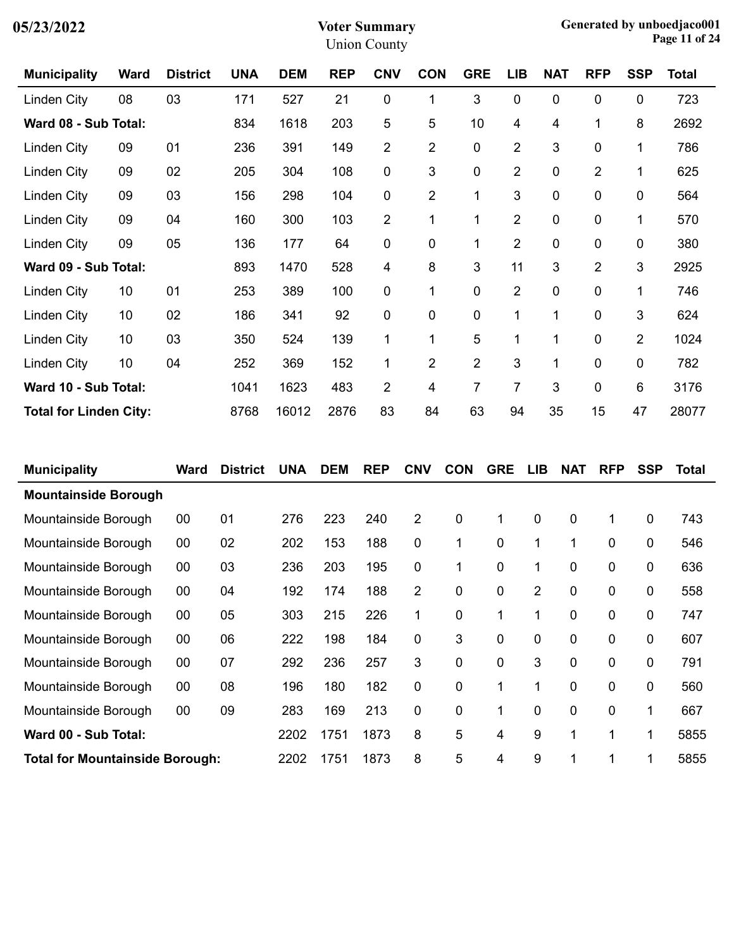| 05/23/2022 |  |
|------------|--|
|------------|--|

| <b>Municipality</b>           | <b>Ward</b> | <b>District</b> | <b>UNA</b> | <b>DEM</b> | <b>REP</b> | <b>CNV</b>     | <b>CON</b>     | <b>GRE</b>     | <b>LIB</b>     | <b>NAT</b>   | <b>RFP</b>     | <b>SSP</b>     | <b>Total</b> |
|-------------------------------|-------------|-----------------|------------|------------|------------|----------------|----------------|----------------|----------------|--------------|----------------|----------------|--------------|
| Linden City                   | 08          | 03              | 171        | 527        | 21         | 0              | 1              | 3              | 0              | 0            | 0              | 0              | 723          |
| Ward 08 - Sub Total:          |             |                 | 834        | 1618       | 203        | 5              | 5              | 10             | 4              | 4            | $\mathbf 1$    | 8              | 2692         |
| Linden City                   | 09          | 01              | 236        | 391        | 149        | $\overline{c}$ | $\overline{c}$ | 0              | $\overline{2}$ | 3            | 0              | 1              | 786          |
| Linden City                   | 09          | 02              | 205        | 304        | 108        | 0              | 3              | 0              | $\overline{2}$ | $\mathbf 0$  | $\overline{2}$ | 1              | 625          |
| Linden City                   | 09          | 03              | 156        | 298        | 104        | 0              | $\overline{c}$ | 1              | 3              | 0            | $\pmb{0}$      | 0              | 564          |
| Linden City                   | 09          | 04              | 160        | 300        | 103        | $\overline{2}$ | 1              | 1              | $\overline{2}$ | $\mathbf 0$  | 0              | 1              | 570          |
| Linden City                   | 09          | 05              | 136        | 177        | 64         | 0              | 0              | 1              | $\overline{2}$ | 0            | 0              | 0              | 380          |
| Ward 09 - Sub Total:          |             |                 | 893        | 1470       | 528        | 4              | 8              | 3              | 11             | 3            | $\overline{2}$ | 3              | 2925         |
| Linden City                   | 10          | 01              | 253        | 389        | 100        | 0              | 1              | 0              | $\overline{2}$ | 0            | 0              | 1              | 746          |
| Linden City                   | 10          | 02              | 186        | 341        | 92         | 0              | 0              | $\mathbf 0$    | 1              | $\mathbf{1}$ | 0              | 3              | 624          |
| Linden City                   | 10          | 03              | 350        | 524        | 139        | 1              | 1              | 5              | 1              | 1            | $\mathbf 0$    | $\overline{2}$ | 1024         |
| Linden City                   | 10          | 04              | 252        | 369        | 152        | 1              | $\overline{2}$ | $\overline{2}$ | 3              | $\mathbf{1}$ | 0              | 0              | 782          |
| Ward 10 - Sub Total:          |             |                 | 1041       | 1623       | 483        | $\overline{2}$ | 4              | 7              | 7              | 3            | $\mathbf 0$    | 6              | 3176         |
| <b>Total for Linden City:</b> |             |                 | 8768       | 16012      | 2876       | 83             | 84             | 63             | 94             | 35           | 15             | 47             | 28077        |

| <b>Municipality</b>                    | Ward | <b>District</b> | <b>UNA</b> | <b>DEM</b> | <b>REP</b> | <b>CNV</b>     | <b>CON</b> | <b>GRE</b> | <b>LIB</b>     | <b>NAT</b>  | <b>RFP</b> | <b>SSP</b> | Total |
|----------------------------------------|------|-----------------|------------|------------|------------|----------------|------------|------------|----------------|-------------|------------|------------|-------|
| <b>Mountainside Borough</b>            |      |                 |            |            |            |                |            |            |                |             |            |            |       |
| Mountainside Borough                   | 00   | 01              | 276        | 223        | 240        | 2              | 0          | 1          | 0              | $\mathbf 0$ | 1          | 0          | 743   |
| Mountainside Borough                   | 00   | 02              | 202        | 153        | 188        | 0              | 1          | 0          | 1              | 1           | 0          | 0          | 546   |
| Mountainside Borough                   | 00   | 03              | 236        | 203        | 195        | 0              | 1          | 0          | 1              | 0           | 0          | 0          | 636   |
| Mountainside Borough                   | 00   | 04              | 192        | 174        | 188        | $\overline{2}$ | 0          | 0          | $\overline{2}$ | $\mathbf 0$ | 0          | 0          | 558   |
| Mountainside Borough                   | 00   | 05              | 303        | 215        | 226        | 1              | 0          | 1          | 1              | $\mathbf 0$ | 0          | 0          | 747   |
| Mountainside Borough                   | 00   | 06              | 222        | 198        | 184        | 0              | 3          | 0          | 0              | 0           | 0          | 0          | 607   |
| Mountainside Borough                   | 00   | 07              | 292        | 236        | 257        | 3              | 0          | 0          | 3              | 0           | 0          | 0          | 791   |
| Mountainside Borough                   | 00   | 08              | 196        | 180        | 182        | 0              | 0          | 1          | 1              | 0           | 0          | 0          | 560   |
| Mountainside Borough                   | 00   | 09              | 283        | 169        | 213        | 0              | 0          | 1          | 0              | 0           | 0          | 1          | 667   |
| Ward 00 - Sub Total:                   |      |                 | 2202       | 1751       | 1873       | 8              | 5          | 4          | 9              | 1           | 1          | 1          | 5855  |
| <b>Total for Mountainside Borough:</b> |      |                 | 2202       | 1751       | 1873       | 8              | 5          | 4          | 9              | 1           | 1          | 1          | 5855  |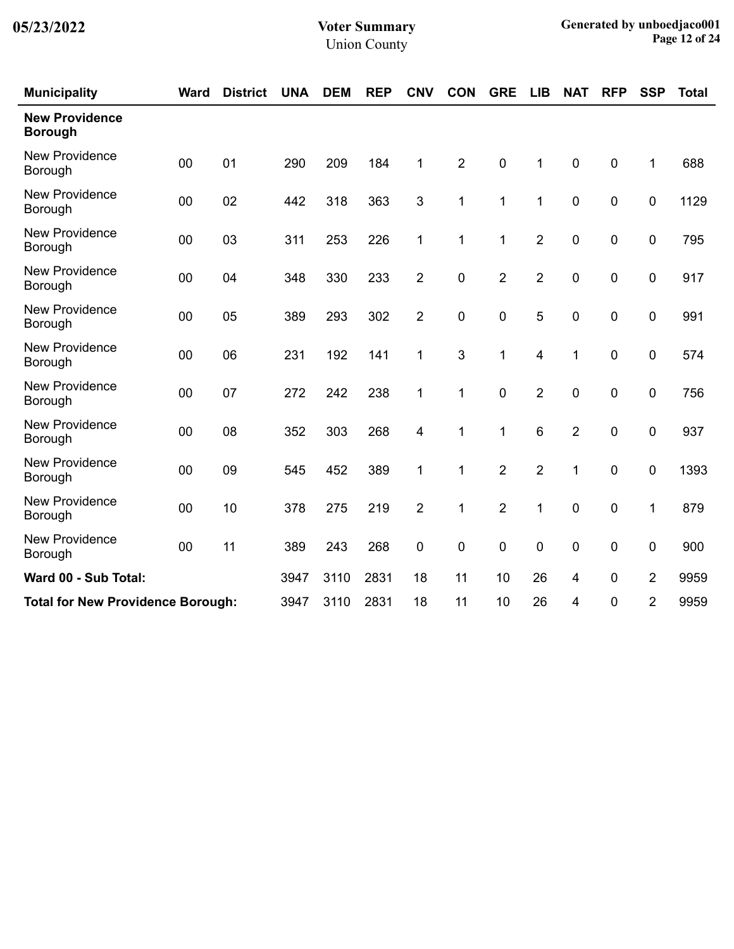| <b>Municipality</b>                      | <b>Ward</b> | <b>District</b> | <b>UNA</b> | <b>DEM</b> | <b>REP</b> | <b>CNV</b>     | <b>CON</b>     | <b>GRE</b>     | <b>LIB</b>     | <b>NAT</b>       | <b>RFP</b>       | <b>SSP</b>     | <b>Total</b> |
|------------------------------------------|-------------|-----------------|------------|------------|------------|----------------|----------------|----------------|----------------|------------------|------------------|----------------|--------------|
| <b>New Providence</b><br><b>Borough</b>  |             |                 |            |            |            |                |                |                |                |                  |                  |                |              |
| <b>New Providence</b><br>Borough         | 00          | 01              | 290        | 209        | 184        | 1              | $\overline{2}$ | $\pmb{0}$      | 1              | $\pmb{0}$        | $\mathbf 0$      | 1              | 688          |
| <b>New Providence</b><br>Borough         | 00          | 02              | 442        | 318        | 363        | 3              | 1              | 1              | 1              | $\mathbf 0$      | $\mathbf 0$      | 0              | 1129         |
| <b>New Providence</b><br>Borough         | 00          | 03              | 311        | 253        | 226        | 1              | 1              | 1              | $\overline{2}$ | $\mathbf 0$      | $\mathbf 0$      | 0              | 795          |
| <b>New Providence</b><br>Borough         | 00          | 04              | 348        | 330        | 233        | $\overline{2}$ | 0              | $\overline{2}$ | $\overline{2}$ | $\mathbf 0$      | $\mathbf 0$      | 0              | 917          |
| <b>New Providence</b><br>Borough         | 00          | 05              | 389        | 293        | 302        | $\overline{2}$ | 0              | $\mathbf 0$    | 5              | $\mathbf 0$      | 0                | 0              | 991          |
| <b>New Providence</b><br>Borough         | 00          | 06              | 231        | 192        | 141        | 1              | 3              | 1              | 4              | 1                | $\boldsymbol{0}$ | 0              | 574          |
| <b>New Providence</b><br>Borough         | 00          | 07              | 272        | 242        | 238        | 1              | 1              | $\mathbf 0$    | $\overline{2}$ | $\mathbf 0$      | $\mathbf 0$      | $\mathbf 0$    | 756          |
| <b>New Providence</b><br>Borough         | 00          | 08              | 352        | 303        | 268        | 4              | 1              | 1              | 6              | $\overline{2}$   | 0                | 0              | 937          |
| <b>New Providence</b><br>Borough         | 00          | 09              | 545        | 452        | 389        | 1              | 1              | $\overline{2}$ | $\overline{2}$ | 1                | 0                | 0              | 1393         |
| <b>New Providence</b><br>Borough         | 00          | 10              | 378        | 275        | 219        | $\overline{2}$ | 1              | $\overline{2}$ | 1              | $\boldsymbol{0}$ | $\boldsymbol{0}$ | 1              | 879          |
| <b>New Providence</b><br>Borough         | 00          | 11              | 389        | 243        | 268        | 0              | 0              | $\mathbf 0$    | $\mathbf 0$    | $\pmb{0}$        | 0                | 0              | 900          |
| Ward 00 - Sub Total:                     |             |                 | 3947       | 3110       | 2831       | 18             | 11             | 10             | 26             | 4                | $\mathbf 0$      | $\overline{2}$ | 9959         |
| <b>Total for New Providence Borough:</b> |             |                 | 3947       | 3110       | 2831       | 18             | 11             | 10             | 26             | 4                | 0                | $\overline{2}$ | 9959         |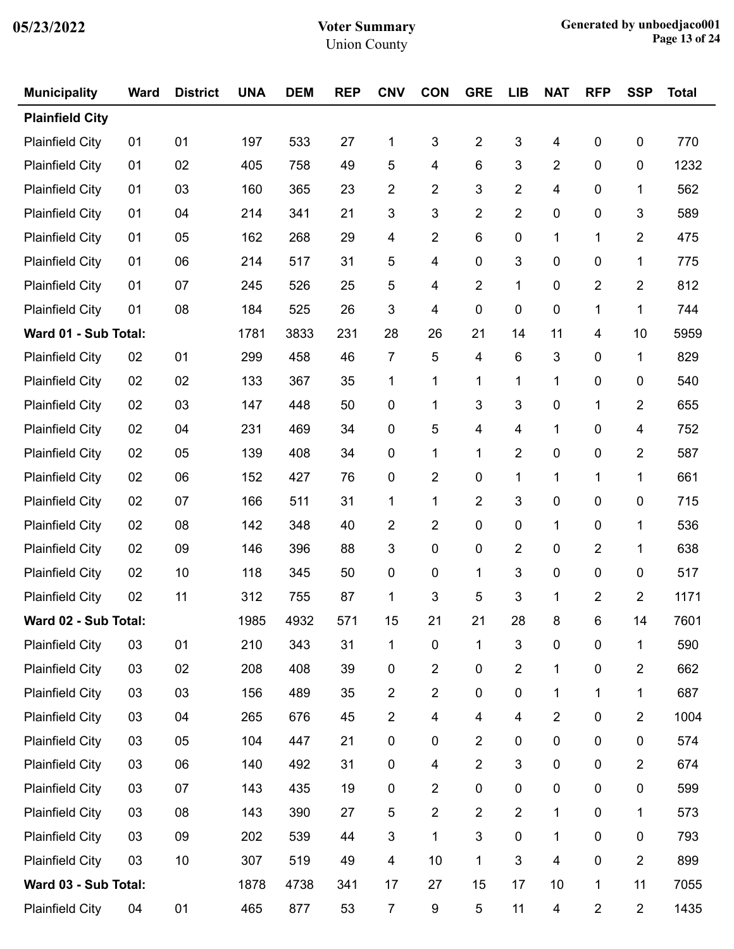| <b>Municipality</b>    | <b>Ward</b> | <b>District</b> | <b>UNA</b> | <b>DEM</b> | <b>REP</b> | <b>CNV</b>     | <b>CON</b>              | <b>GRE</b>              | <b>LIB</b>     | <b>NAT</b>              | <b>RFP</b>      | <b>SSP</b>     | <b>Total</b> |
|------------------------|-------------|-----------------|------------|------------|------------|----------------|-------------------------|-------------------------|----------------|-------------------------|-----------------|----------------|--------------|
| <b>Plainfield City</b> |             |                 |            |            |            |                |                         |                         |                |                         |                 |                |              |
| <b>Plainfield City</b> | 01          | 01              | 197        | 533        | 27         | 1              | 3                       | $\overline{2}$          | 3              | 4                       | $\pmb{0}$       | $\pmb{0}$      | 770          |
| <b>Plainfield City</b> | 01          | 02              | 405        | 758        | 49         | 5              | 4                       | 6                       | 3              | $\overline{2}$          | 0               | 0              | 1232         |
| <b>Plainfield City</b> | 01          | 03              | 160        | 365        | 23         | $\overline{2}$ | $\overline{2}$          | 3                       | 2              | $\overline{\mathbf{4}}$ | 0               | 1              | 562          |
| <b>Plainfield City</b> | 01          | 04              | 214        | 341        | 21         | 3              | 3                       | $\overline{2}$          | $\overline{2}$ | 0                       | 0               | 3              | 589          |
| <b>Plainfield City</b> | 01          | 05              | 162        | 268        | 29         | 4              | $\overline{2}$          | 6                       | 0              | 1                       | 1               | $\overline{2}$ | 475          |
| <b>Plainfield City</b> | 01          | 06              | 214        | 517        | 31         | 5              | 4                       | $\mathbf 0$             | 3              | 0                       | 0               | 1              | 775          |
| <b>Plainfield City</b> | 01          | 07              | 245        | 526        | 25         | 5              | 4                       | $\overline{2}$          | 1              | 0                       | $\overline{2}$  | $\overline{2}$ | 812          |
| <b>Plainfield City</b> | 01          | 08              | 184        | 525        | 26         | $\mathfrak{S}$ | 4                       | 0                       | 0              | 0                       | 1               | 1              | 744          |
| Ward 01 - Sub Total:   |             |                 | 1781       | 3833       | 231        | 28             | 26                      | 21                      | 14             | 11                      | 4               | 10             | 5959         |
| <b>Plainfield City</b> | 02          | 01              | 299        | 458        | 46         | 7              | 5                       | 4                       | 6              | 3                       | 0               | 1              | 829          |
| <b>Plainfield City</b> | 02          | 02              | 133        | 367        | 35         | 1              | 1                       | 1                       | 1              | 1                       | 0               | 0              | 540          |
| <b>Plainfield City</b> | 02          | 03              | 147        | 448        | 50         | 0              | 1                       | 3                       | 3              | 0                       | 1               | $\overline{2}$ | 655          |
| <b>Plainfield City</b> | 02          | 04              | 231        | 469        | 34         | 0              | 5                       | 4                       | 4              | 1                       | 0               | 4              | 752          |
| <b>Plainfield City</b> | 02          | 05              | 139        | 408        | 34         | 0              | 1                       | 1                       | $\overline{2}$ | $\pmb{0}$               | 0               | $\overline{2}$ | 587          |
| <b>Plainfield City</b> | 02          | 06              | 152        | 427        | 76         | 0              | $\overline{2}$          | 0                       | 1              | 1                       | 1               | 1              | 661          |
| <b>Plainfield City</b> | 02          | 07              | 166        | 511        | 31         | 1              | 1                       | $\overline{2}$          | 3              | 0                       | 0               | 0              | 715          |
| <b>Plainfield City</b> | 02          | 08              | 142        | 348        | 40         | $\overline{2}$ | $\overline{2}$          | 0                       | 0              | 1                       | 0               | 1              | 536          |
| <b>Plainfield City</b> | 02          | 09              | 146        | 396        | 88         | 3              | 0                       | 0                       | 2              | 0                       | 2               | 1              | 638          |
| <b>Plainfield City</b> | 02          | 10              | 118        | 345        | 50         | 0              | 0                       | 1                       | 3              | 0                       | 0               | 0              | 517          |
| <b>Plainfield City</b> | 02          | 11              | 312        | 755        | 87         | 1              | 3                       | 5                       | 3              | 1                       | 2               | $\overline{2}$ | 1171         |
| Ward 02 - Sub Total:   |             |                 | 1985       | 4932       | 571        | 15             | 21                      | 21                      | 28             | 8                       | $6\phantom{.}6$ | 14             | 7601         |
| <b>Plainfield City</b> | 03          | 01              | 210        | 343        | 31         | 1              | $\mathbf 0$             | 1                       | 3              | $\pmb{0}$               | $\pmb{0}$       | 1              | 590          |
| <b>Plainfield City</b> | 03          | 02              | 208        | 408        | 39         | 0              | $\overline{2}$          | $\pmb{0}$               | $\overline{2}$ | 1                       | $\pmb{0}$       | $\overline{2}$ | 662          |
| <b>Plainfield City</b> | 03          | 03              | 156        | 489        | 35         | $\overline{c}$ | $\overline{2}$          | $\pmb{0}$               | 0              | 1                       | 1               | 1              | 687          |
| <b>Plainfield City</b> | 03          | 04              | 265        | 676        | 45         | $\overline{c}$ | $\overline{\mathbf{4}}$ | $\overline{\mathbf{4}}$ | 4              | $\overline{2}$          | 0               | $\overline{2}$ | 1004         |
| <b>Plainfield City</b> | 03          | 05              | 104        | 447        | 21         | 0              | 0                       | $\overline{2}$          | 0              | $\pmb{0}$               | $\pmb{0}$       | $\pmb{0}$      | 574          |
| <b>Plainfield City</b> | 03          | 06              | 140        | 492        | 31         | 0              | 4                       | $\mathbf 2$             | 3              | $\pmb{0}$               | $\pmb{0}$       | $\overline{c}$ | 674          |
| <b>Plainfield City</b> | 03          | 07              | 143        | 435        | 19         | 0              | $\overline{c}$          | 0                       | 0              | $\pmb{0}$               | $\pmb{0}$       | $\pmb{0}$      | 599          |
| <b>Plainfield City</b> | 03          | 08              | 143        | 390        | 27         | 5              | $\overline{2}$          | 2                       | $\overline{2}$ | 1                       | $\pmb{0}$       | 1              | 573          |
| <b>Plainfield City</b> | 03          | 09              | 202        | 539        | 44         | $\mathfrak{S}$ | 1                       | 3                       | 0              | 1                       | $\pmb{0}$       | $\mathbf 0$    | 793          |
| <b>Plainfield City</b> | 03          | 10              | 307        | 519        | 49         | 4              | 10                      | 1                       | 3              | 4                       | 0               | $\overline{c}$ | 899          |
| Ward 03 - Sub Total:   |             |                 | 1878       | 4738       | 341        | 17             | 27                      | 15                      | 17             | 10                      | $\mathbf 1$     | 11             | 7055         |
| <b>Plainfield City</b> | 04          | 01              | 465        | 877        | 53         | $\overline{7}$ | 9                       | $\sqrt{5}$              | 11             | 4                       | $\overline{c}$  | $\overline{c}$ | 1435         |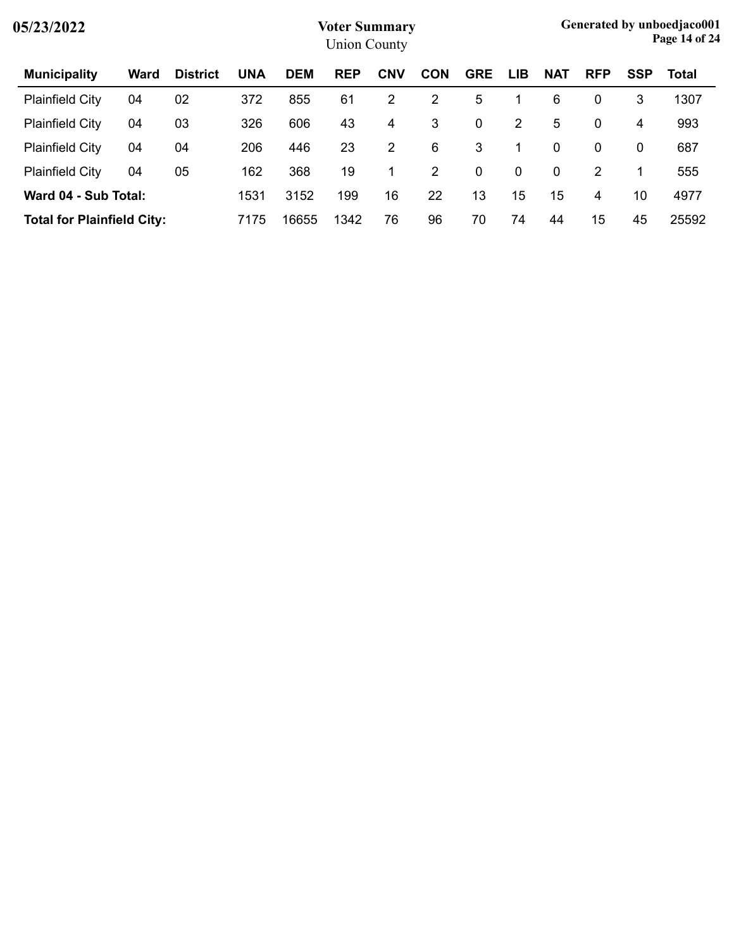| 05/23/2022                        |      |                 |            |            | <b>Voter Summary</b><br><b>Union County</b> |            |            |             |                |            |            |             | Generated by unboedjaco001<br>Page 14 of 24 |
|-----------------------------------|------|-----------------|------------|------------|---------------------------------------------|------------|------------|-------------|----------------|------------|------------|-------------|---------------------------------------------|
| <b>Municipality</b>               | Ward | <b>District</b> | <b>UNA</b> | <b>DEM</b> | <b>REP</b>                                  | <b>CNV</b> | <b>CON</b> | <b>GRE</b>  | <b>LIB</b>     | <b>NAT</b> | <b>RFP</b> | <b>SSP</b>  | Total                                       |
| <b>Plainfield City</b>            | 04   | 02              | 372        | 855        | 61                                          | 2          | 2          | 5           |                | 6          | 0          | 3           | 1307                                        |
| <b>Plainfield City</b>            | 04   | 03              | 326        | 606        | 43                                          | 4          | 3          | 0           | $\overline{2}$ | 5          | 0          | 4           | 993                                         |
| <b>Plainfield City</b>            | 04   | 04              | 206        | 446        | 23                                          | 2          | 6          | 3           | 1              | 0          | 0          | $\mathbf 0$ | 687                                         |
| <b>Plainfield City</b>            | 04   | 05              | 162        | 368        | 19                                          | 1.         | 2          | $\mathbf 0$ | $\mathbf 0$    | 0          | 2          | 1           | 555                                         |
| Ward 04 - Sub Total:              |      |                 | 1531       | 3152       | 199                                         | 16         | 22         | 13          | 15             | 15         | 4          | 10          | 4977                                        |
| <b>Total for Plainfield City:</b> |      |                 | 7175       | 16655      | 1342                                        | 76         | 96         | 70          | 74             | 44         | 15         | 45          | 25592                                       |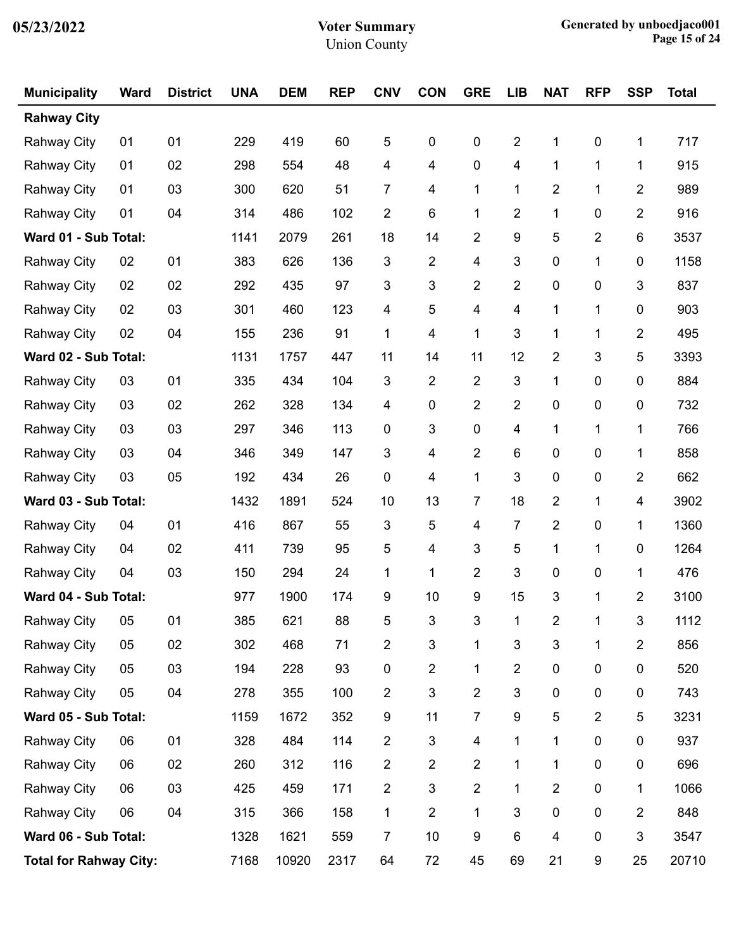| <b>Municipality</b>           | <b>Ward</b> | <b>District</b> | <b>UNA</b> | <b>DEM</b> | <b>REP</b> | <b>CNV</b>     | <b>CON</b>                | <b>GRE</b>     | <b>LIB</b>              | <b>NAT</b>     | <b>RFP</b>   | <b>SSP</b>     | <b>Total</b> |
|-------------------------------|-------------|-----------------|------------|------------|------------|----------------|---------------------------|----------------|-------------------------|----------------|--------------|----------------|--------------|
| <b>Rahway City</b>            |             |                 |            |            |            |                |                           |                |                         |                |              |                |              |
| <b>Rahway City</b>            | 01          | 01              | 229        | 419        | 60         | 5              | 0                         | $\pmb{0}$      | $\overline{2}$          | 1              | $\pmb{0}$    | 1              | 717          |
| <b>Rahway City</b>            | 01          | 02              | 298        | 554        | 48         | 4              | 4                         | 0              | $\overline{\mathbf{4}}$ | 1              | 1            | 1              | 915          |
| <b>Rahway City</b>            | 01          | 03              | 300        | 620        | 51         | 7              | 4                         | 1              | 1                       | $\overline{2}$ | 1            | 2              | 989          |
| <b>Rahway City</b>            | 01          | 04              | 314        | 486        | 102        | 2              | 6                         | 1              | $\overline{2}$          | 1              | 0            | 2              | 916          |
| Ward 01 - Sub Total:          |             |                 | 1141       | 2079       | 261        | 18             | 14                        | $\overline{c}$ | 9                       | 5              | 2            | 6              | 3537         |
| <b>Rahway City</b>            | 02          | 01              | 383        | 626        | 136        | 3              | $\overline{\mathbf{c}}$   | 4              | $\mathfrak{S}$          | 0              | 1            | 0              | 1158         |
| <b>Rahway City</b>            | 02          | 02              | 292        | 435        | 97         | 3              | 3                         | $\overline{c}$ | $\overline{2}$          | 0              | 0            | 3              | 837          |
| <b>Rahway City</b>            | 02          | 03              | 301        | 460        | 123        | 4              | 5                         | 4              | $\overline{\mathbf{4}}$ | 1              | 1            | 0              | 903          |
| <b>Rahway City</b>            | 02          | 04              | 155        | 236        | 91         | 1              | 4                         | 1              | 3                       | 1              | 1            | 2              | 495          |
| Ward 02 - Sub Total:          |             |                 | 1131       | 1757       | 447        | 11             | 14                        | 11             | 12                      | $\overline{2}$ | 3            | 5              | 3393         |
| <b>Rahway City</b>            | 03          | 01              | 335        | 434        | 104        | 3              | 2                         | $\overline{c}$ | 3                       | 1              | 0            | 0              | 884          |
| <b>Rahway City</b>            | 03          | 02              | 262        | 328        | 134        | 4              | 0                         | $\overline{2}$ | $\overline{2}$          | 0              | 0            | 0              | 732          |
| Rahway City                   | 03          | 03              | 297        | 346        | 113        | 0              | 3                         | $\pmb{0}$      | $\overline{\mathbf{4}}$ | 1              | 1            | 1              | 766          |
| <b>Rahway City</b>            | 03          | 04              | 346        | 349        | 147        | 3              | 4                         | $\overline{2}$ | 6                       | 0              | 0            | 1              | 858          |
| <b>Rahway City</b>            | 03          | 05              | 192        | 434        | 26         | 0              | 4                         | $\mathbf 1$    | $\mathfrak{S}$          | 0              | 0            | 2              | 662          |
| Ward 03 - Sub Total:          |             |                 | 1432       | 1891       | 524        | 10             | 13                        | 7              | 18                      | $\overline{2}$ | 1            | 4              | 3902         |
| <b>Rahway City</b>            | 04          | 01              | 416        | 867        | 55         | 3              | 5                         | 4              | $\overline{7}$          | $\overline{2}$ | 0            | 1              | 1360         |
| <b>Rahway City</b>            | 04          | 02              | 411        | 739        | 95         | 5              | 4                         | 3              | 5                       | 1              | 1            | 0              | 1264         |
| <b>Rahway City</b>            | 04          | 03              | 150        | 294        | 24         | 1              | 1                         | $\overline{c}$ | 3                       | 0              | 0            | 1              | 476          |
| Ward 04 - Sub Total:          |             |                 | 977        | 1900       | 174        | 9              | 10                        | 9              | 15                      | 3              | 1            | 2              | 3100         |
| Rahway City                   | 05          | 01              | 385        | 621        | 88         | 5              | $\mathbf{3}$              | 3              | $\mathbf{1}$            | $\overline{2}$ | $\mathbf{1}$ | $\mathbf{3}$   | 1112         |
| <b>Rahway City</b>            | 05          | 02              | 302        | 468        | 71         | 2              | $\ensuremath{\mathsf{3}}$ | 1              | $\mathbf 3$             | 3              | 1            | $\overline{c}$ | 856          |
| Rahway City                   | 05          | 03              | 194        | 228        | 93         | 0              | 2                         | 1              | $\overline{2}$          | 0              | 0            | $\pmb{0}$      | 520          |
| <b>Rahway City</b>            | 05          | 04              | 278        | 355        | 100        | 2              | 3                         | $\overline{2}$ | $\mathfrak{S}$          | 0              | 0            | 0              | 743          |
| Ward 05 - Sub Total:          |             |                 | 1159       | 1672       | 352        | 9              | 11                        | $\overline{7}$ | 9                       | 5              | 2            | 5              | 3231         |
| <b>Rahway City</b>            | 06          | 01              | 328        | 484        | 114        | $\overline{2}$ | 3                         | 4              | 1                       | 1              | 0            | $\pmb{0}$      | 937          |
| Rahway City                   | 06          | 02              | 260        | 312        | 116        | 2              | 2                         | $\overline{2}$ | 1                       | 1              | 0            | 0              | 696          |
| Rahway City                   | 06          | 03              | 425        | 459        | 171        | 2              | 3                         | $\overline{2}$ | 1                       | $\overline{2}$ | 0            | 1              | 1066         |
| <b>Rahway City</b>            | 06          | 04              | 315        | 366        | 158        | 1              | $\overline{2}$            | $\mathbf{1}$   | 3                       | 0              | 0            | $\overline{2}$ | 848          |
| Ward 06 - Sub Total:          |             |                 | 1328       | 1621       | 559        | 7              | 10                        | 9              | 6                       | 4              | 0            | 3              | 3547         |
| <b>Total for Rahway City:</b> |             |                 | 7168       | 10920      | 2317       | 64             | 72                        | 45             | 69                      | 21             | 9            | 25             | 20710        |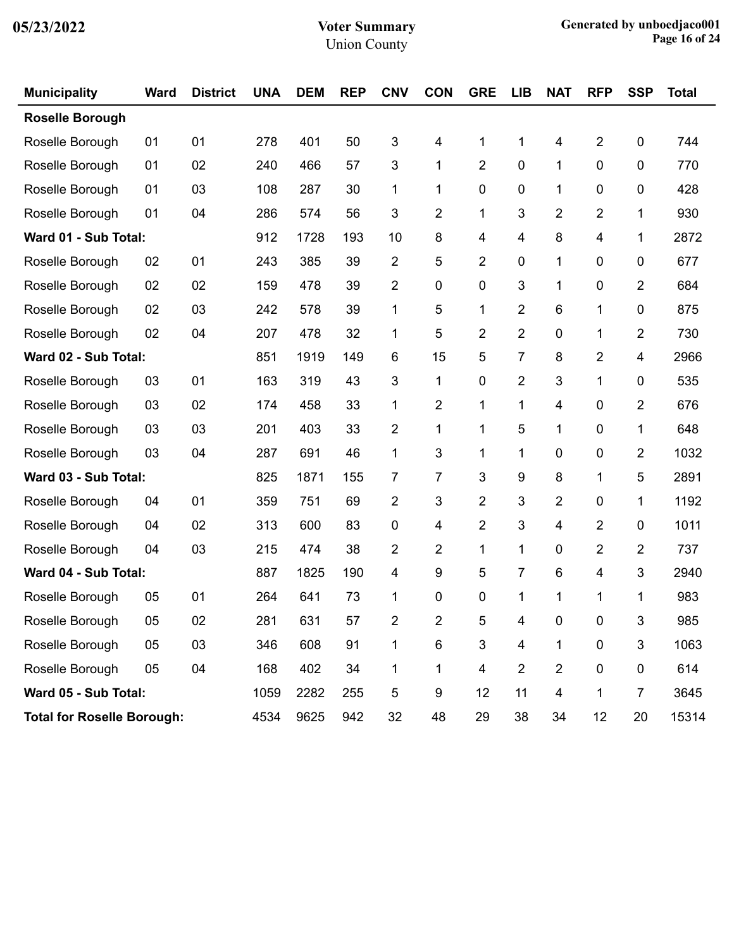| <b>Municipality</b>               | <b>Ward</b> | <b>District</b> | <b>UNA</b> | <b>DEM</b> | <b>REP</b> | <b>CNV</b> | <b>CON</b>              | <b>GRE</b>              | <b>LIB</b>     | <b>NAT</b>     | <b>RFP</b>              | <b>SSP</b>              | <b>Total</b> |
|-----------------------------------|-------------|-----------------|------------|------------|------------|------------|-------------------------|-------------------------|----------------|----------------|-------------------------|-------------------------|--------------|
| <b>Roselle Borough</b>            |             |                 |            |            |            |            |                         |                         |                |                |                         |                         |              |
| Roselle Borough                   | 01          | 01              | 278        | 401        | 50         | 3          | 4                       | 1                       | 1              | 4              | $\overline{2}$          | 0                       | 744          |
| Roselle Borough                   | 01          | 02              | 240        | 466        | 57         | 3          | 1                       | $\overline{2}$          | $\mathbf 0$    | 1              | $\mathbf 0$             | 0                       | 770          |
| Roselle Borough                   | 01          | 03              | 108        | 287        | 30         | 1          | 1                       | 0                       | 0              | 1              | 0                       | 0                       | 428          |
| Roselle Borough                   | 01          | 04              | 286        | 574        | 56         | 3          | $\overline{2}$          | 1                       | 3              | $\overline{2}$ | 2                       | 1                       | 930          |
| Ward 01 - Sub Total:              |             |                 | 912        | 1728       | 193        | 10         | 8                       | $\overline{\mathbf{4}}$ | 4              | 8              | 4                       | 1                       | 2872         |
| Roselle Borough                   | 02          | 01              | 243        | 385        | 39         | 2          | 5                       | $\overline{2}$          | 0              | 1              | 0                       | 0                       | 677          |
| Roselle Borough                   | 02          | 02              | 159        | 478        | 39         | 2          | 0                       | 0                       | 3              | 1              | 0                       | $\overline{2}$          | 684          |
| Roselle Borough                   | 02          | 03              | 242        | 578        | 39         | 1          | 5                       | 1                       | $\overline{2}$ | 6              | 1                       | 0                       | 875          |
| Roselle Borough                   | 02          | 04              | 207        | 478        | 32         | 1          | 5                       | $\overline{2}$          | $\overline{2}$ | 0              | 1                       | $\overline{\mathbf{c}}$ | 730          |
| Ward 02 - Sub Total:              |             |                 | 851        | 1919       | 149        | 6          | 15                      | 5                       | 7              | 8              | 2                       | 4                       | 2966         |
| Roselle Borough                   | 03          | 01              | 163        | 319        | 43         | 3          | 1                       | $\pmb{0}$               | $\overline{2}$ | 3              | 1                       | 0                       | 535          |
| Roselle Borough                   | 03          | 02              | 174        | 458        | 33         | 1          | 2                       | 1                       | 1              | 4              | 0                       | 2                       | 676          |
| Roselle Borough                   | 03          | 03              | 201        | 403        | 33         | 2          | 1                       | 1                       | 5              | 1              | 0                       | 1                       | 648          |
| Roselle Borough                   | 03          | 04              | 287        | 691        | 46         | 1          | 3                       | 1                       | 1              | 0              | 0                       | 2                       | 1032         |
| Ward 03 - Sub Total:              |             |                 | 825        | 1871       | 155        | 7          | 7                       | 3                       | 9              | 8              | 1                       | 5                       | 2891         |
| Roselle Borough                   | 04          | 01              | 359        | 751        | 69         | 2          | 3                       | $\overline{2}$          | 3              | $\overline{2}$ | 0                       | 1                       | 1192         |
| Roselle Borough                   | 04          | 02              | 313        | 600        | 83         | 0          | $\overline{\mathbf{4}}$ | $\overline{2}$          | 3              | 4              | $\overline{2}$          | 0                       | 1011         |
| Roselle Borough                   | 04          | 03              | 215        | 474        | 38         | 2          | 2                       | 1                       | 1              | 0              | $\overline{\mathbf{c}}$ | 2                       | 737          |
| Ward 04 - Sub Total:              |             |                 | 887        | 1825       | 190        | 4          | 9                       | 5                       | 7              | 6              | 4                       | 3                       | 2940         |
| Roselle Borough                   | 05          | 01              | 264        | 641        | 73         | 1          | 0                       | 0                       | 1              | 1              | 1                       | 1                       | 983          |
| Roselle Borough                   | 05          | 02              | 281        | 631        | 57         | 2          | 2                       | 5                       | 4              | 0              | $\pmb{0}$               | 3                       | 985          |
| Roselle Borough                   | 05          | 03              | 346        | 608        | 91         | 1          | $\,6$                   | $\mathfrak{B}$          | 4              | 1              | $\pmb{0}$               | 3                       | 1063         |
| Roselle Borough                   | 05          | 04              | 168        | 402        | 34         | 1          | $\mathbf 1$             | $\overline{\mathbf{4}}$ | $\overline{2}$ | $\overline{2}$ | $\pmb{0}$               | 0                       | 614          |
| Ward 05 - Sub Total:              |             |                 | 1059       | 2282       | 255        | 5          | 9                       | 12                      | 11             | 4              | $\mathbf{1}$            | $\overline{7}$          | 3645         |
| <b>Total for Roselle Borough:</b> |             |                 | 4534       | 9625       | 942        | 32         | 48                      | 29                      | 38             | 34             | 12                      | 20                      | 15314        |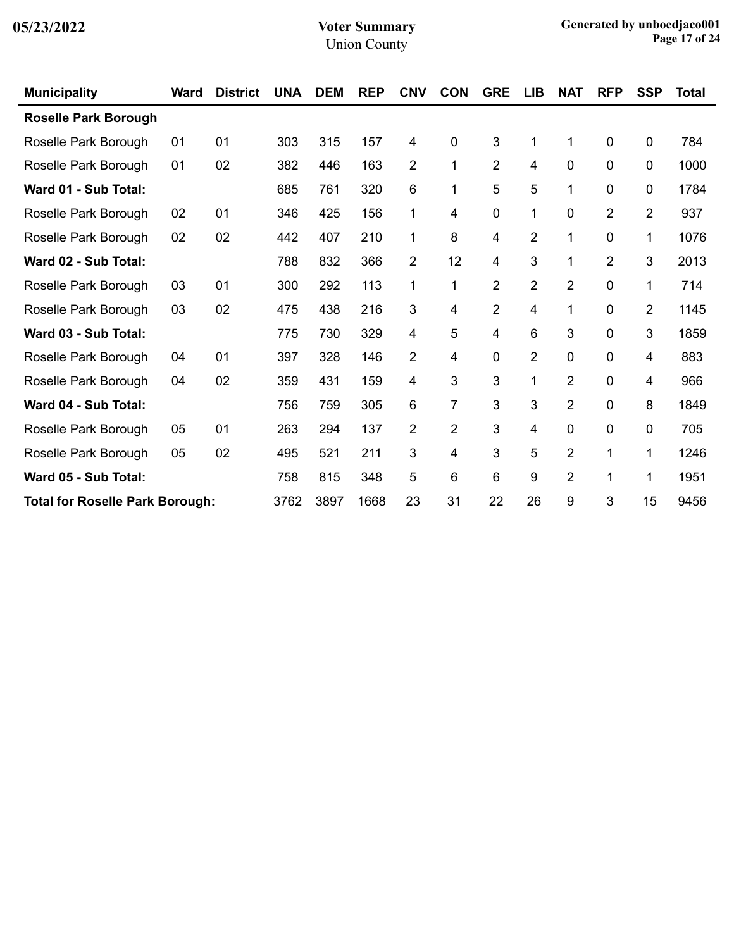| <b>Municipality</b>                    | <b>Ward</b> | <b>District</b> | <b>UNA</b> | <b>DEM</b> | <b>REP</b> | <b>CNV</b> | <b>CON</b>     | <b>GRE</b>     | LIB            | <b>NAT</b>     | <b>RFP</b>     | <b>SSP</b>     | <b>Total</b> |
|----------------------------------------|-------------|-----------------|------------|------------|------------|------------|----------------|----------------|----------------|----------------|----------------|----------------|--------------|
| <b>Roselle Park Borough</b>            |             |                 |            |            |            |            |                |                |                |                |                |                |              |
| Roselle Park Borough                   | 01          | 01              | 303        | 315        | 157        | 4          | $\mathbf 0$    | 3              | 1              | 1              | 0              | 0              | 784          |
| Roselle Park Borough                   | 01          | 02              | 382        | 446        | 163        | 2          | 1              | $\overline{2}$ | 4              | 0              | 0              | 0              | 1000         |
| Ward 01 - Sub Total:                   |             |                 | 685        | 761        | 320        | 6          | 1              | 5              | 5              | 1              | 0              | 0              | 1784         |
| Roselle Park Borough                   | 02          | 01              | 346        | 425        | 156        | 1          | 4              | $\mathbf 0$    | 1              | 0              | $\overline{2}$ | $\overline{2}$ | 937          |
| Roselle Park Borough                   | 02          | 02              | 442        | 407        | 210        | 1          | 8              | 4              | $\overline{2}$ | 1              | 0              | 1              | 1076         |
| Ward 02 - Sub Total:                   |             |                 | 788        | 832        | 366        | 2          | 12             | 4              | 3              | 1              | $\overline{2}$ | 3              | 2013         |
| Roselle Park Borough                   | 03          | 01              | 300        | 292        | 113        | 1          | 1              | $\overline{2}$ | $\overline{2}$ | $\overline{2}$ | 0              | 1              | 714          |
| Roselle Park Borough                   | 03          | 02              | 475        | 438        | 216        | 3          | 4              | $\overline{2}$ | 4              | 1              | 0              | 2              | 1145         |
| Ward 03 - Sub Total:                   |             |                 | 775        | 730        | 329        | 4          | 5              | 4              | 6              | 3              | 0              | 3              | 1859         |
| Roselle Park Borough                   | 04          | 01              | 397        | 328        | 146        | 2          | 4              | 0              | $\overline{2}$ | 0              | 0              | 4              | 883          |
| Roselle Park Borough                   | 04          | 02              | 359        | 431        | 159        | 4          | 3              | 3              | 1              | $\overline{2}$ | 0              | 4              | 966          |
| Ward 04 - Sub Total:                   |             |                 | 756        | 759        | 305        | 6          | 7              | 3              | 3              | 2              | 0              | 8              | 1849         |
| Roselle Park Borough                   | 05          | 01              | 263        | 294        | 137        | 2          | $\overline{2}$ | 3              | 4              | 0              | 0              | 0              | 705          |
| Roselle Park Borough                   | 05          | 02              | 495        | 521        | 211        | 3          | 4              | 3              | 5              | $\overline{2}$ | 1              | 1              | 1246         |
| Ward 05 - Sub Total:                   |             |                 | 758        | 815        | 348        | 5          | 6              | 6              | 9              | $\overline{2}$ |                | 1              | 1951         |
| <b>Total for Roselle Park Borough:</b> |             |                 | 3762       | 3897       | 1668       | 23         | 31             | 22             | 26             | 9              | 3              | 15             | 9456         |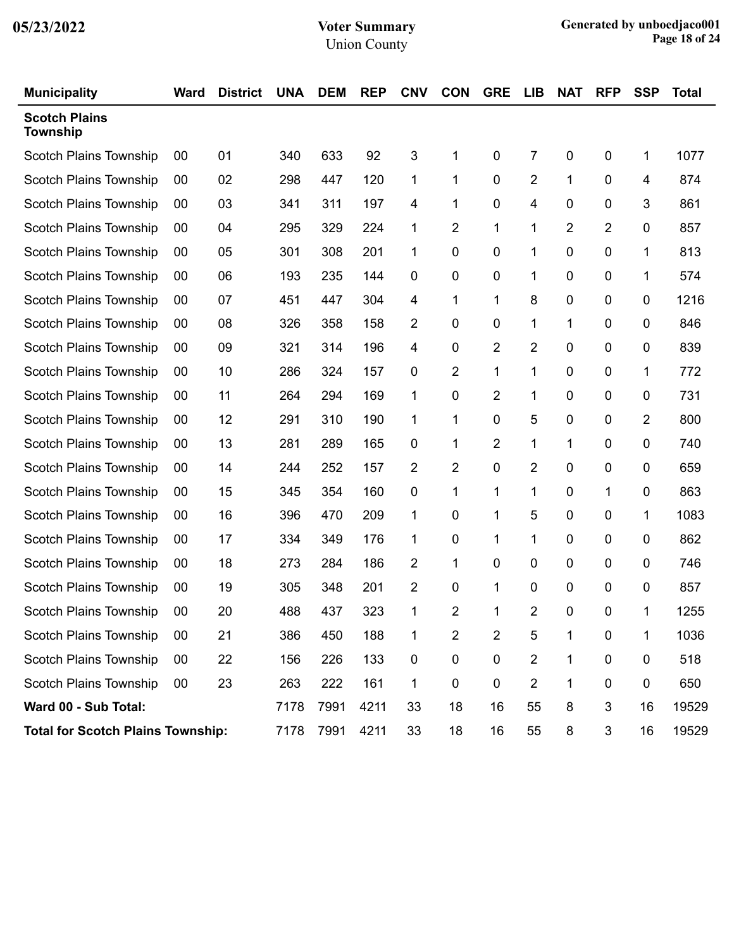| <b>Municipality</b>                      | Ward | <b>District</b> | <b>UNA</b> | <b>DEM</b> | <b>REP</b> | <b>CNV</b>  | <b>CON</b>     | <b>GRE</b>     | <b>LIB</b>     | <b>NAT</b> | <b>RFP</b> | <b>SSP</b> | Total |
|------------------------------------------|------|-----------------|------------|------------|------------|-------------|----------------|----------------|----------------|------------|------------|------------|-------|
| <b>Scotch Plains</b><br>Township         |      |                 |            |            |            |             |                |                |                |            |            |            |       |
| <b>Scotch Plains Township</b>            | 00   | 01              | 340        | 633        | 92         | 3           | 1              | 0              | 7              | 0          | 0          | 1          | 1077  |
| <b>Scotch Plains Township</b>            | 00   | 02              | 298        | 447        | 120        | 1           | 1              | 0              | $\overline{2}$ | 1          | 0          | 4          | 874   |
| Scotch Plains Township                   | 00   | 03              | 341        | 311        | 197        | 4           | 1              | 0              | 4              | 0          | 0          | 3          | 861   |
| Scotch Plains Township                   | 00   | 04              | 295        | 329        | 224        | $\mathbf 1$ | 2              | 1              | 1              | 2          | 2          | 0          | 857   |
| Scotch Plains Township                   | 00   | 05              | 301        | 308        | 201        | 1           | 0              | 0              | 1              | 0          | 0          | 1          | 813   |
| Scotch Plains Township                   | 00   | 06              | 193        | 235        | 144        | 0           | 0              | 0              | 1              | 0          | 0          | 1          | 574   |
| Scotch Plains Township                   | 00   | 07              | 451        | 447        | 304        | 4           | 1              | 1              | 8              | 0          | 0          | 0          | 1216  |
| Scotch Plains Township                   | 00   | 08              | 326        | 358        | 158        | 2           | 0              | 0              | 1              | 1          | 0          | 0          | 846   |
| <b>Scotch Plains Township</b>            | 00   | 09              | 321        | 314        | 196        | 4           | 0              | 2              | 2              | 0          | 0          | 0          | 839   |
| Scotch Plains Township                   | 00   | 10              | 286        | 324        | 157        | 0           | 2              | 1              | 1              | 0          | 0          | 1          | 772   |
| Scotch Plains Township                   | 00   | 11              | 264        | 294        | 169        | 1           | 0              | $\overline{2}$ | 1              | 0          | 0          | 0          | 731   |
| Scotch Plains Township                   | 00   | 12              | 291        | 310        | 190        | 1           | 1              | 0              | 5              | 0          | 0          | 2          | 800   |
| Scotch Plains Township                   | 00   | 13              | 281        | 289        | 165        | 0           | 1              | 2              | 1              | 1          | 0          | 0          | 740   |
| Scotch Plains Township                   | 00   | 14              | 244        | 252        | 157        | 2           | 2              | 0              | $\overline{2}$ | 0          | 0          | 0          | 659   |
| Scotch Plains Township                   | 00   | 15              | 345        | 354        | 160        | 0           | 1              | 1              | 1              | 0          | 1          | 0          | 863   |
| Scotch Plains Township                   | 00   | 16              | 396        | 470        | 209        | 1           | 0              | 1              | 5              | 0          | 0          | 1          | 1083  |
| Scotch Plains Township                   | 00   | 17              | 334        | 349        | 176        | 1           | 0              | 1              | 1              | 0          | 0          | 0          | 862   |
| Scotch Plains Township                   | 00   | 18              | 273        | 284        | 186        | 2           | 1              | 0              | 0              | 0          | 0          | 0          | 746   |
| Scotch Plains Township                   | 00   | 19              | 305        | 348        | 201        | 2           | 0              | 1              | 0              | 0          | 0          | 0          | 857   |
| <b>Scotch Plains Township</b>            | 00   | 20              | 488        | 437        | 323        | 1           | 2              | 1              | 2              | 0          | 0          | 1          | 1255  |
| Scotch Plains Township                   | 00   | 21              | 386        | 450        | 188        | 1           | $\overline{2}$ | $\overline{2}$ | 5              | 1          | 0          | 1          | 1036  |
| <b>Scotch Plains Township</b>            | 00   | 22              | 156        | 226        | 133        | 0           | 0              | $\pmb{0}$      | $\overline{2}$ | 1          | $\pmb{0}$  | 0          | 518   |
| <b>Scotch Plains Township</b>            | 00   | 23              | 263        | 222        | 161        | 1           | $\pmb{0}$      | $\mathbf 0$    | $\overline{2}$ | 1          | 0          | 0          | 650   |
| Ward 00 - Sub Total:                     |      |                 | 7178       | 7991       | 4211       | 33          | 18             | 16             | 55             | 8          | 3          | 16         | 19529 |
| <b>Total for Scotch Plains Township:</b> |      |                 | 7178       | 7991       | 4211       | 33          | 18             | 16             | 55             | 8          | 3          | 16         | 19529 |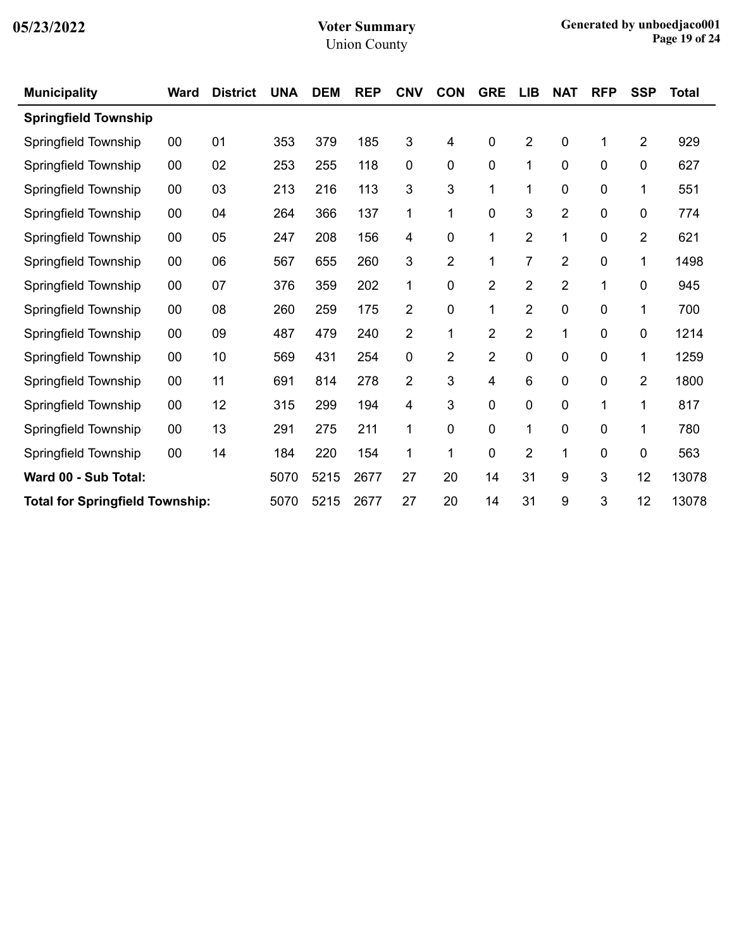| <b>Municipality</b>                    | <b>Ward</b> | <b>District</b> | <b>UNA</b> | <b>DEM</b> | <b>REP</b> | <b>CNV</b>     | <b>CON</b>     | <b>GRE</b>     | <b>LIB</b>              | <b>NAT</b>     | <b>RFP</b> | <b>SSP</b>     | <b>Total</b> |
|----------------------------------------|-------------|-----------------|------------|------------|------------|----------------|----------------|----------------|-------------------------|----------------|------------|----------------|--------------|
| <b>Springfield Township</b>            |             |                 |            |            |            |                |                |                |                         |                |            |                |              |
| Springfield Township                   | 00          | 01              | 353        | 379        | 185        | 3              | 4              | $\pmb{0}$      | $\overline{2}$          | 0              | 1          | $\overline{2}$ | 929          |
| Springfield Township                   | 00          | 02              | 253        | 255        | 118        | $\overline{0}$ | 0              | $\mathbf 0$    | 1                       | 0              | 0          | 0              | 627          |
| Springfield Township                   | 00          | 03              | 213        | 216        | 113        | 3              | 3              | $\mathbf{1}$   | 1                       | 0              | 0          | 1              | 551          |
| Springfield Township                   | 00          | 04              | 264        | 366        | 137        | 1              | 1              | 0              | 3                       | $\overline{2}$ | 0          | 0              | 774          |
| Springfield Township                   | 00          | 05              | 247        | 208        | 156        | 4              | 0              | $\mathbf{1}$   | $\overline{2}$          | 1              | 0          | $\overline{2}$ | 621          |
| Springfield Township                   | 00          | 06              | 567        | 655        | 260        | 3              | 2              | 1              | 7                       | $\overline{2}$ | 0          | 1              | 1498         |
| Springfield Township                   | 00          | 07              | 376        | 359        | 202        | 1              | 0              | 2              | $\overline{\mathbf{c}}$ | 2              | 1          | $\pmb{0}$      | 945          |
| Springfield Township                   | 00          | 08              | 260        | 259        | 175        | $\overline{2}$ | 0              | 1              | $\overline{2}$          | 0              | 0          | 1              | 700          |
| Springfield Township                   | 00          | 09              | 487        | 479        | 240        | $\overline{2}$ | 1              | 2              | $\overline{\mathbf{c}}$ | 1              | 0          | $\mathbf 0$    | 1214         |
| Springfield Township                   | 00          | 10              | 569        | 431        | 254        | $\mathbf 0$    | $\overline{2}$ | $\overline{2}$ | 0                       | 0              | 0          | 1              | 1259         |
| Springfield Township                   | 00          | 11              | 691        | 814        | 278        | $\overline{2}$ | 3              | 4              | 6                       | 0              | 0          | $\overline{2}$ | 1800         |
| Springfield Township                   | 00          | 12              | 315        | 299        | 194        | 4              | 3              | 0              | 0                       | 0              | 1          | 1              | 817          |
| Springfield Township                   | 00          | 13              | 291        | 275        | 211        | 1              | 0              | 0              | 1                       | 0              | 0          | 1              | 780          |
| Springfield Township                   | 00          | 14              | 184        | 220        | 154        | 1              | 1              | 0              | $\overline{2}$          | 1              | 0          | $\mathbf 0$    | 563          |
| Ward 00 - Sub Total:                   |             |                 | 5070       | 5215       | 2677       | 27             | 20             | 14             | 31                      | 9              | 3          | 12             | 13078        |
| <b>Total for Springfield Township:</b> |             |                 | 5070       | 5215       | 2677       | 27             | 20             | 14             | 31                      | 9              | 3          | 12             | 13078        |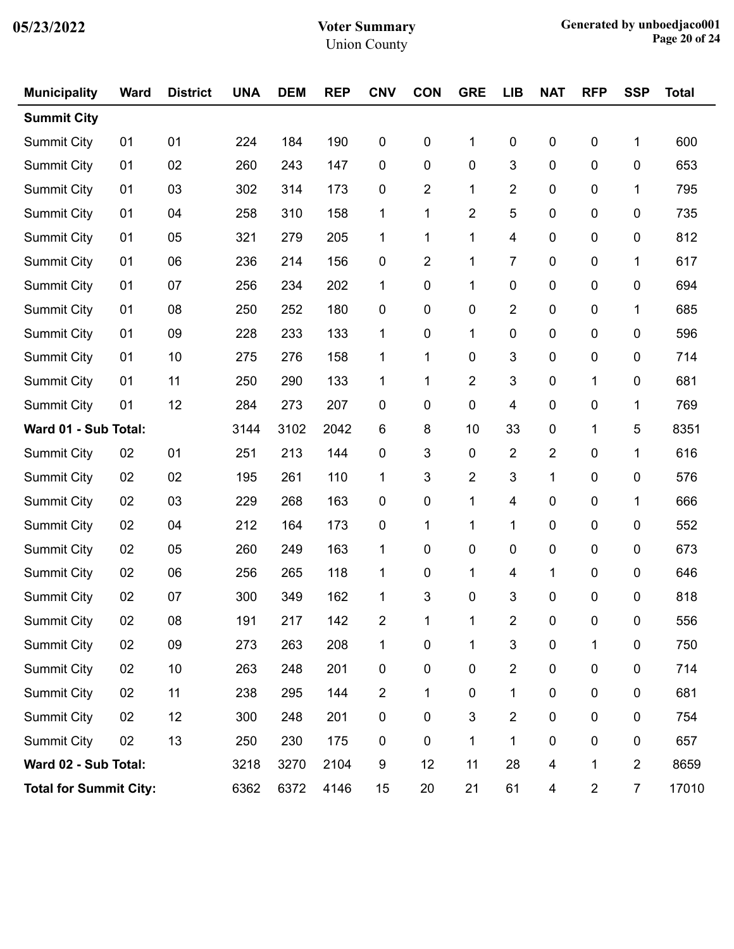| <b>Municipality</b>           | <b>Ward</b> | <b>District</b> | <b>UNA</b> | <b>DEM</b> | <b>REP</b> | <b>CNV</b>     | <b>CON</b>              | <b>GRE</b> | <b>LIB</b>     | <b>NAT</b>              | <b>RFP</b>              | <b>SSP</b>              | <b>Total</b> |
|-------------------------------|-------------|-----------------|------------|------------|------------|----------------|-------------------------|------------|----------------|-------------------------|-------------------------|-------------------------|--------------|
| <b>Summit City</b>            |             |                 |            |            |            |                |                         |            |                |                         |                         |                         |              |
| <b>Summit City</b>            | 01          | 01              | 224        | 184        | 190        | $\pmb{0}$      | $\mathbf 0$             | 1          | $\pmb{0}$      | $\pmb{0}$               | $\mathbf 0$             | 1                       | 600          |
| <b>Summit City</b>            | 01          | 02              | 260        | 243        | 147        | 0              | 0                       | $\pmb{0}$  | 3              | $\pmb{0}$               | 0                       | 0                       | 653          |
| <b>Summit City</b>            | 01          | 03              | 302        | 314        | 173        | 0              | $\overline{\mathbf{c}}$ | 1          | $\overline{2}$ | $\mathbf 0$             | 0                       | 1                       | 795          |
| Summit City                   | 01          | 04              | 258        | 310        | 158        | 1              | 1                       | 2          | 5              | $\mathbf 0$             | 0                       | $\mathbf 0$             | 735          |
| Summit City                   | 01          | 05              | 321        | 279        | 205        | 1              | 1                       | 1          | 4              | $\pmb{0}$               | 0                       | 0                       | 812          |
| <b>Summit City</b>            | 01          | 06              | 236        | 214        | 156        | 0              | 2                       | 1          | 7              | 0                       | 0                       | 1                       | 617          |
| <b>Summit City</b>            | 01          | 07              | 256        | 234        | 202        | 1              | $\mathbf 0$             | 1          | $\mathbf 0$    | $\mathbf 0$             | 0                       | 0                       | 694          |
| Summit City                   | 01          | 08              | 250        | 252        | 180        | 0              | 0                       | 0          | $\overline{2}$ | $\pmb{0}$               | 0                       | 1                       | 685          |
| <b>Summit City</b>            | 01          | 09              | 228        | 233        | 133        | 1              | $\mathbf 0$             | 1          | $\mathbf 0$    | $\mathbf 0$             | 0                       | 0                       | 596          |
| <b>Summit City</b>            | 01          | 10              | 275        | 276        | 158        | 1              | 1                       | 0          | 3              | $\mathbf 0$             | 0                       | $\mathbf 0$             | 714          |
| <b>Summit City</b>            | 01          | 11              | 250        | 290        | 133        | 1              | 1                       | 2          | 3              | $\pmb{0}$               | 1                       | 0                       | 681          |
| <b>Summit City</b>            | 01          | 12              | 284        | 273        | 207        | 0              | $\mathbf 0$             | 0          | 4              | 0                       | 0                       | 1                       | 769          |
| Ward 01 - Sub Total:          |             |                 | 3144       | 3102       | 2042       | 6              | 8                       | 10         | 33             | $\pmb{0}$               | 1                       | 5                       | 8351         |
| Summit City                   | 02          | 01              | 251        | 213        | 144        | 0              | 3                       | 0          | $\overline{2}$ | $\overline{2}$          | 0                       | 1                       | 616          |
| <b>Summit City</b>            | 02          | 02              | 195        | 261        | 110        | 1              | 3                       | 2          | 3              | 1                       | 0                       | 0                       | 576          |
| <b>Summit City</b>            | 02          | 03              | 229        | 268        | 163        | 0              | $\mathbf 0$             | 1          | 4              | $\mathbf 0$             | 0                       | 1                       | 666          |
| <b>Summit City</b>            | 02          | 04              | 212        | 164        | 173        | 0              | 1                       | 1          | 1              | $\pmb{0}$               | 0                       | 0                       | 552          |
| <b>Summit City</b>            | 02          | 05              | 260        | 249        | 163        | 1              | $\mathbf 0$             | 0          | $\mathbf 0$    | $\mathbf 0$             | 0                       | 0                       | 673          |
| <b>Summit City</b>            | 02          | 06              | 256        | 265        | 118        | 1              | $\pmb{0}$               | 1          | 4              | 1                       | 0                       | $\mathbf 0$             | 646          |
| <b>Summit City</b>            | 02          | 07              | 300        | 349        | 162        | 1              | 3                       | 0          | 3              | $\mathbf 0$             | 0                       | 0                       | 818          |
| <b>Summit City</b>            | 02          | 08              | 191        | 217        | 142        | 2              |                         |            | 2              | $\pmb{0}$               | $\pmb{0}$               | $\pmb{0}$               | 556          |
| <b>Summit City</b>            | 02          | 09              | 273        | 263        | 208        | 1              | $\pmb{0}$               | 1          | 3              | $\pmb{0}$               | 1                       | $\pmb{0}$               | 750          |
| <b>Summit City</b>            | 02          | 10              | 263        | 248        | 201        | $\pmb{0}$      | $\pmb{0}$               | $\pmb{0}$  | $\overline{2}$ | $\pmb{0}$               | $\pmb{0}$               | $\pmb{0}$               | 714          |
| <b>Summit City</b>            | 02          | 11              | 238        | 295        | 144        | $\overline{2}$ | 1                       | 0          | 1              | $\pmb{0}$               | $\pmb{0}$               | $\pmb{0}$               | 681          |
| <b>Summit City</b>            | 02          | 12              | 300        | 248        | 201        | 0              | $\mathbf 0$             | 3          | $\overline{2}$ | $\pmb{0}$               | $\pmb{0}$               | $\pmb{0}$               | 754          |
| <b>Summit City</b>            | 02          | 13              | 250        | 230        | 175        | 0              | $\mathbf 0$             | 1          | 1              | $\pmb{0}$               | $\pmb{0}$               | $\pmb{0}$               | 657          |
| Ward 02 - Sub Total:          |             |                 | 3218       | 3270       | 2104       | 9              | 12                      | 11         | 28             | 4                       | 1                       | $\overline{\mathbf{c}}$ | 8659         |
| <b>Total for Summit City:</b> |             |                 | 6362       | 6372       | 4146       | 15             | 20                      | 21         | 61             | $\overline{\mathbf{4}}$ | $\overline{\mathbf{c}}$ | $\overline{7}$          | 17010        |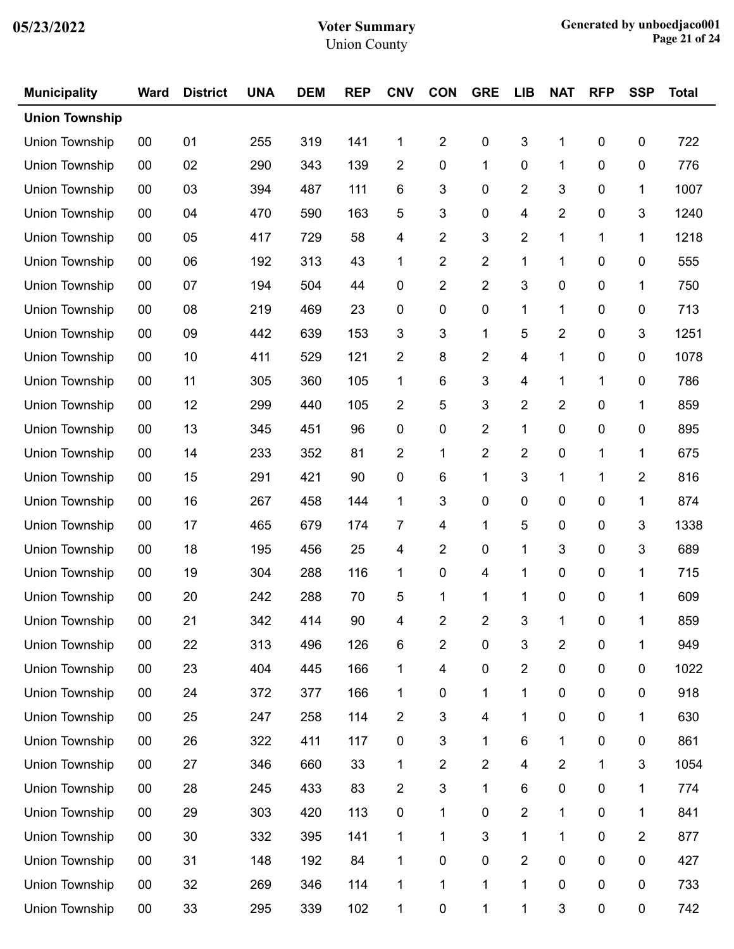| <b>Municipality</b>   | <b>Ward</b> | <b>District</b> | <b>UNA</b> | <b>DEM</b> | <b>REP</b> | <b>CNV</b>     | <b>CON</b>              | <b>GRE</b>     | <b>LIB</b>              | <b>NAT</b>              | <b>RFP</b>       | <b>SSP</b>     | <b>Total</b> |
|-----------------------|-------------|-----------------|------------|------------|------------|----------------|-------------------------|----------------|-------------------------|-------------------------|------------------|----------------|--------------|
| <b>Union Township</b> |             |                 |            |            |            |                |                         |                |                         |                         |                  |                |              |
| Union Township        | 00          | 01              | 255        | 319        | 141        | 1              | $\overline{2}$          | 0              | 3                       | 1                       | $\pmb{0}$        | $\pmb{0}$      | 722          |
| Union Township        | 00          | 02              | 290        | 343        | 139        | $\overline{2}$ | $\pmb{0}$               | 1              | $\pmb{0}$               | 1                       | $\boldsymbol{0}$ | $\pmb{0}$      | 776          |
| Union Township        | 00          | 03              | 394        | 487        | 111        | 6              | 3                       | 0              | $\overline{\mathbf{c}}$ | 3                       | 0                | 1              | 1007         |
| Union Township        | 00          | 04              | 470        | 590        | 163        | 5              | 3                       | 0              | 4                       | $\overline{2}$          | $\pmb{0}$        | 3              | 1240         |
| Union Township        | 00          | 05              | 417        | 729        | 58         | 4              | $\overline{c}$          | 3              | $\overline{2}$          | 1                       | 1                | 1              | 1218         |
| Union Township        | 00          | 06              | 192        | 313        | 43         | 1              | $\overline{2}$          | 2              | 1                       | 1                       | 0                | 0              | 555          |
| Union Township        | 00          | 07              | 194        | 504        | 44         | 0              | $\overline{2}$          | 2              | 3                       | $\pmb{0}$               | $\pmb{0}$        | 1              | 750          |
| Union Township        | 00          | 08              | 219        | 469        | 23         | 0              | 0                       | 0              | 1                       | 1                       | $\boldsymbol{0}$ | $\pmb{0}$      | 713          |
| Union Township        | 00          | 09              | 442        | 639        | 153        | 3              | 3                       | 1              | 5                       | 2                       | 0                | 3              | 1251         |
| Union Township        | 00          | 10              | 411        | 529        | 121        | $\overline{2}$ | 8                       | 2              | 4                       | 1                       | $\pmb{0}$        | $\mathbf 0$    | 1078         |
| Union Township        | 00          | 11              | 305        | 360        | 105        | 1              | 6                       | 3              | 4                       | 1                       | 1                | $\pmb{0}$      | 786          |
| Union Township        | 00          | 12              | 299        | 440        | 105        | 2              | 5                       | 3              | $\overline{\mathbf{c}}$ | $\overline{\mathbf{c}}$ | 0                | 1              | 859          |
| Union Township        | 00          | 13              | 345        | 451        | 96         | 0              | 0                       | 2              | 1                       | $\pmb{0}$               | $\pmb{0}$        | $\mathbf 0$    | 895          |
| Union Township        | 00          | 14              | 233        | 352        | 81         | $\overline{2}$ | 1                       | $\overline{2}$ | $\overline{2}$          | $\pmb{0}$               | 1                | 1              | 675          |
| <b>Union Township</b> | 00          | 15              | 291        | 421        | 90         | 0              | 6                       | 1              | 3                       | 1                       | 1                | $\overline{2}$ | 816          |
| Union Township        | 00          | 16              | 267        | 458        | 144        | 1              | 3                       | 0              | $\pmb{0}$               | $\pmb{0}$               | $\pmb{0}$        | 1              | 874          |
| Union Township        | 00          | 17              | 465        | 679        | 174        | $\overline{7}$ | 4                       | 1              | 5                       | $\pmb{0}$               | $\boldsymbol{0}$ | 3              | 1338         |
| Union Township        | 00          | 18              | 195        | 456        | 25         | 4              | $\overline{c}$          | 0              | 1                       | 3                       | 0                | 3              | 689          |
| Union Township        | 00          | 19              | 304        | 288        | 116        | 1              | 0                       | 4              | 1                       | $\pmb{0}$               | $\pmb{0}$        | 1              | 715          |
| Union Township        | 00          | 20              | 242        | 288        | 70         | 5              | 1                       | 1              | 1                       | $\boldsymbol{0}$        | 0                | 1              | 609          |
| Union Township        | 00          | 21              | 342        | 414        | 90         | $\overline{4}$ | 2                       | 2              | 3                       |                         | 0                |                | 859          |
| Union Township        | $00\,$      | 22              | 313        | 496        | 126        | 6              | 2                       | 0              | $\sqrt{3}$              | $\boldsymbol{2}$        | $\pmb{0}$        | 1              | 949          |
| Union Township        | 00          | 23              | 404        | 445        | 166        | 1              | 4                       | 0              | $\overline{2}$          | $\pmb{0}$               | $\pmb{0}$        | $\pmb{0}$      | 1022         |
| Union Township        | 00          | 24              | 372        | 377        | 166        | 1              | 0                       | 1              | 1                       | $\pmb{0}$               | $\pmb{0}$        | $\mathbf 0$    | 918          |
| Union Township        | 00          | 25              | 247        | 258        | 114        | $\overline{c}$ | 3                       | 4              | 1                       | $\pmb{0}$               | $\pmb{0}$        | 1              | 630          |
| Union Township        | 00          | 26              | 322        | 411        | 117        | $\pmb{0}$      | 3                       | 1              | $\,6\,$                 | 1                       | $\pmb{0}$        | $\pmb{0}$      | 861          |
| Union Township        | 00          | 27              | 346        | 660        | 33         | 1              | $\overline{\mathbf{c}}$ | 2              | $\overline{\mathbf{4}}$ | $\overline{2}$          | 1                | 3              | 1054         |
| Union Township        | 00          | 28              | 245        | 433        | 83         | $\overline{2}$ | 3                       | 1              | $\,6$                   | $\pmb{0}$               | $\pmb{0}$        | 1              | 774          |
| Union Township        | 00          | 29              | 303        | 420        | 113        | $\pmb{0}$      | 1                       | 0              | $\overline{c}$          | 1                       | $\pmb{0}$        | 1              | 841          |
| Union Township        | 00          | 30              | 332        | 395        | 141        | 1              | 1                       | 3              | 1                       | 1                       | 0                | 2              | 877          |
| Union Township        | 00          | 31              | 148        | 192        | 84         | 1              | $\pmb{0}$               | 0              | $\overline{\mathbf{c}}$ | $\pmb{0}$               | 0                | 0              | 427          |
| Union Township        | 00          | 32              | 269        | 346        | 114        | 1              | 1                       | 1              | $\mathbf{1}$            | $\pmb{0}$               | $\pmb{0}$        | $\pmb{0}$      | 733          |
| Union Township        | $00\,$      | 33              | 295        | 339        | 102        | 1              | $\pmb{0}$               | 1              | 1                       | $\sqrt{3}$              | $\pmb{0}$        | 0              | 742          |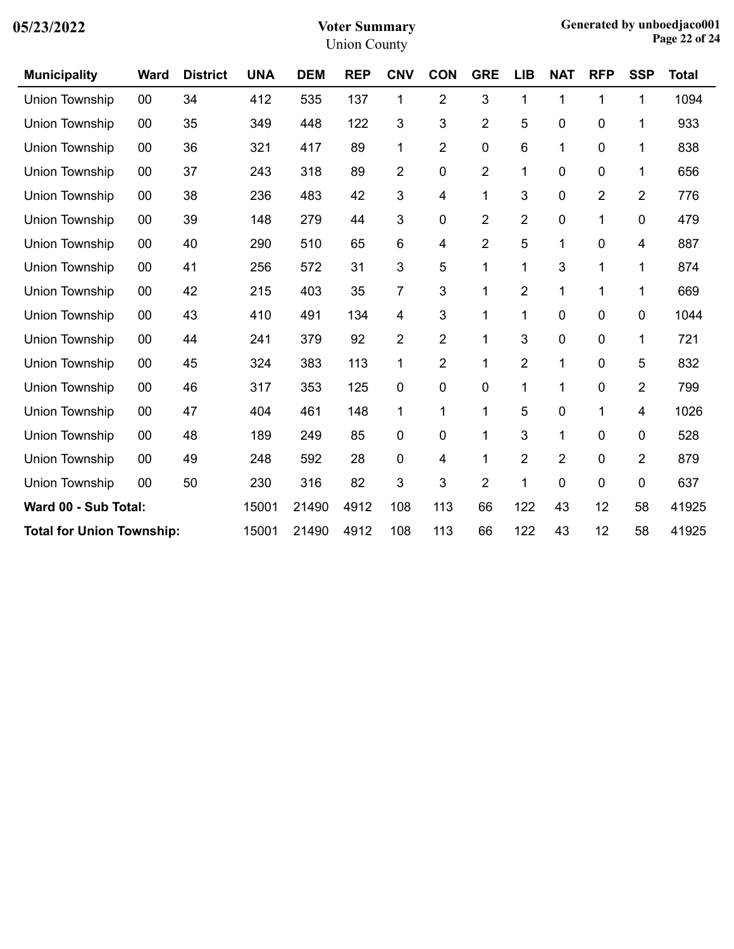| <b>Municipality</b>              | <b>Ward</b> | <b>District</b> | <b>UNA</b> | <b>DEM</b> | <b>REP</b> | <b>CNV</b>     | <b>CON</b>     | <b>GRE</b>     | <b>LIB</b>     | <b>NAT</b> | <b>RFP</b>     | <b>SSP</b>     | <b>Total</b> |
|----------------------------------|-------------|-----------------|------------|------------|------------|----------------|----------------|----------------|----------------|------------|----------------|----------------|--------------|
| Union Township                   | 00          | 34              | 412        | 535        | 137        | 1              | $\overline{2}$ | 3              | 1              | 1          | 1              | 1              | 1094         |
| Union Township                   | 00          | 35              | 349        | 448        | 122        | $\mathfrak{S}$ | 3              | 2              | 5              | 0          | 0              | 1              | 933          |
| Union Township                   | 00          | 36              | 321        | 417        | 89         | 1              | $\overline{2}$ | 0              | 6              | 1          | 0              | 1              | 838          |
| Union Township                   | 00          | 37              | 243        | 318        | 89         | $\overline{2}$ | $\mathbf 0$    | 2              | 1              | 0          | 0              | 1              | 656          |
| Union Township                   | 00          | 38              | 236        | 483        | 42         | 3              | 4              | 1              | 3              | 0          | $\overline{2}$ | $\overline{2}$ | 776          |
| Union Township                   | 00          | 39              | 148        | 279        | 44         | 3              | $\mathbf 0$    | 2              | $\overline{2}$ | 0          | 1              | 0              | 479          |
| Union Township                   | 00          | 40              | 290        | 510        | 65         | 6              | 4              | 2              | 5              | 1          | $\mathbf 0$    | 4              | 887          |
| Union Township                   | 00          | 41              | 256        | 572        | 31         | $\mathfrak{S}$ | 5              | 1              | 1              | 3          | 1              | 1              | 874          |
| Union Township                   | 00          | 42              | 215        | 403        | 35         | $\overline{7}$ | 3              | 1              | $\overline{c}$ | 1          | 1              | 1              | 669          |
| Union Township                   | 00          | 43              | 410        | 491        | 134        | 4              | 3              | 1              | 1              | 0          | 0              | 0              | 1044         |
| Union Township                   | 00          | 44              | 241        | 379        | 92         | $\overline{2}$ | $\overline{2}$ | 1              | 3              | 0          | 0              | 1              | 721          |
| Union Township                   | 00          | 45              | 324        | 383        | 113        | 1              | $\overline{2}$ | 1              | $\overline{2}$ | 1          | 0              | 5              | 832          |
| <b>Union Township</b>            | 00          | 46              | 317        | 353        | 125        | 0              | $\mathbf 0$    | 0              | 1              | 1          | 0              | $\overline{2}$ | 799          |
| Union Township                   | 00          | 47              | 404        | 461        | 148        | 1              | 1              | 1              | 5              | 0          | 1              | 4              | 1026         |
| Union Township                   | 00          | 48              | 189        | 249        | 85         | 0              | $\mathbf 0$    | 1              | 3              | 1          | 0              | 0              | 528          |
| Union Township                   | 00          | 49              | 248        | 592        | 28         | 0              | 4              | 1              | $\overline{2}$ | 2          | 0              | $\overline{2}$ | 879          |
| Union Township                   | 00          | 50              | 230        | 316        | 82         | 3              | 3              | $\overline{2}$ | 1              | 0          | 0              | 0              | 637          |
| Ward 00 - Sub Total:             |             |                 | 15001      | 21490      | 4912       | 108            | 113            | 66             | 122            | 43         | 12             | 58             | 41925        |
| <b>Total for Union Township:</b> |             |                 | 15001      | 21490      | 4912       | 108            | 113            | 66             | 122            | 43         | 12             | 58             | 41925        |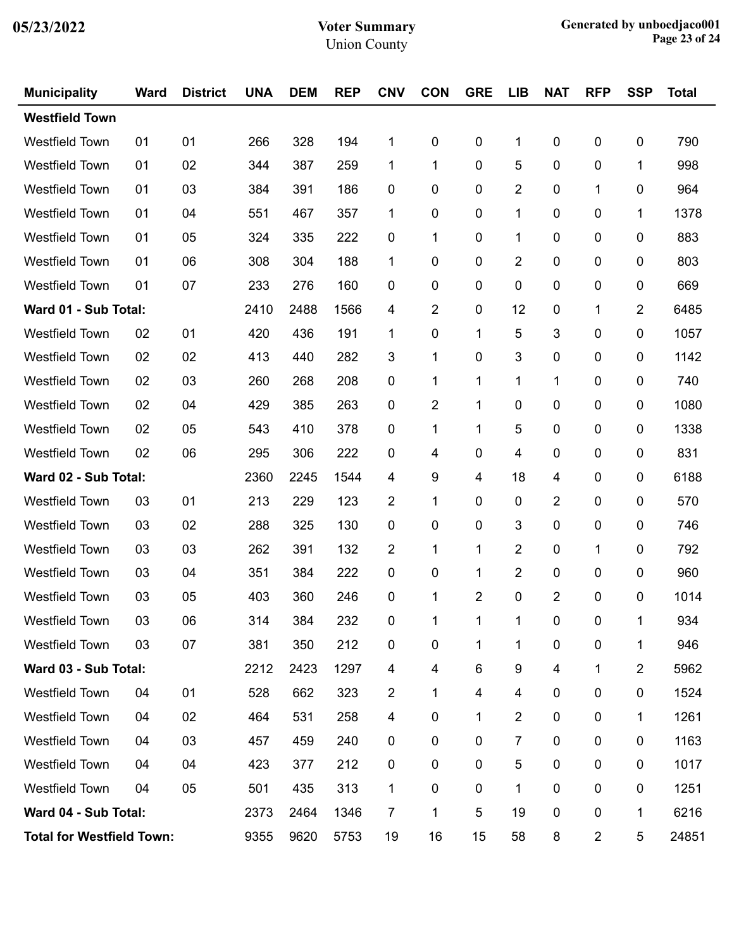| <b>Municipality</b>              | <b>Ward</b> | <b>District</b> | <b>UNA</b> | <b>DEM</b> | <b>REP</b> | <b>CNV</b> | <b>CON</b>              | <b>GRE</b>     | <b>LIB</b> | <b>NAT</b>              | <b>RFP</b>  | <b>SSP</b>     | <b>Total</b> |
|----------------------------------|-------------|-----------------|------------|------------|------------|------------|-------------------------|----------------|------------|-------------------------|-------------|----------------|--------------|
| <b>Westfield Town</b>            |             |                 |            |            |            |            |                         |                |            |                         |             |                |              |
| <b>Westfield Town</b>            | 01          | 01              | 266        | 328        | 194        | 1          | 0                       | $\pmb{0}$      | 1          | 0                       | $\mathbf 0$ | 0              | 790          |
| <b>Westfield Town</b>            | 01          | 02              | 344        | 387        | 259        | 1          | 1                       | $\mathbf 0$    | 5          | 0                       | 0           | 1              | 998          |
| <b>Westfield Town</b>            | 01          | 03              | 384        | 391        | 186        | 0          | 0                       | 0              | 2          | 0                       | 1           | 0              | 964          |
| <b>Westfield Town</b>            | 01          | 04              | 551        | 467        | 357        | 1          | 0                       | $\mathbf 0$    | 1          | 0                       | 0           | 1              | 1378         |
| <b>Westfield Town</b>            | 01          | 05              | 324        | 335        | 222        | 0          | 1                       | $\mathbf 0$    | 1          | 0                       | 0           | $\pmb{0}$      | 883          |
| <b>Westfield Town</b>            | 01          | 06              | 308        | 304        | 188        | 1          | 0                       | 0              | 2          | 0                       | 0           | 0              | 803          |
| <b>Westfield Town</b>            | 01          | 07              | 233        | 276        | 160        | 0          | 0                       | $\mathbf 0$    | 0          | 0                       | 0           | 0              | 669          |
| Ward 01 - Sub Total:             |             |                 | 2410       | 2488       | 1566       | 4          | $\overline{2}$          | $\mathbf 0$    | 12         | 0                       | 1           | 2              | 6485         |
| <b>Westfield Town</b>            | 02          | 01              | 420        | 436        | 191        | 1          | 0                       | 1              | 5          | 3                       | 0           | 0              | 1057         |
| <b>Westfield Town</b>            | 02          | 02              | 413        | 440        | 282        | 3          | 1                       | $\mathbf 0$    | 3          | 0                       | 0           | 0              | 1142         |
| <b>Westfield Town</b>            | 02          | 03              | 260        | 268        | 208        | 0          | 1                       | 1              | 1          | 1                       | 0           | 0              | 740          |
| <b>Westfield Town</b>            | 02          | 04              | 429        | 385        | 263        | 0          | $\overline{2}$          | 1              | 0          | 0                       | 0           | 0              | 1080         |
| <b>Westfield Town</b>            | 02          | 05              | 543        | 410        | 378        | 0          | 1                       | 1              | 5          | 0                       | 0           | 0              | 1338         |
| <b>Westfield Town</b>            | 02          | 06              | 295        | 306        | 222        | 0          | 4                       | $\mathbf 0$    | 4          | 0                       | 0           | 0              | 831          |
| Ward 02 - Sub Total:             |             |                 | 2360       | 2245       | 1544       | 4          | 9                       | 4              | 18         | 4                       | 0           | 0              | 6188         |
| <b>Westfield Town</b>            | 03          | 01              | 213        | 229        | 123        | 2          | 1                       | 0              | 0          | 2                       | 0           | 0              | 570          |
| <b>Westfield Town</b>            | 03          | 02              | 288        | 325        | 130        | 0          | 0                       | $\mathbf 0$    | 3          | 0                       | 0           | 0              | 746          |
| <b>Westfield Town</b>            | 03          | 03              | 262        | 391        | 132        | 2          | 1                       | 1              | 2          | 0                       | 1           | 0              | 792          |
| <b>Westfield Town</b>            | 03          | 04              | 351        | 384        | 222        | 0          | 0                       | 1              | 2          | 0                       | 0           | 0              | 960          |
| <b>Westfield Town</b>            | 03          | 05              | 403        | 360        | 246        | 0          | 1                       | $\overline{c}$ | 0          | $\overline{2}$          | 0           | 0              | 1014         |
| <b>Westfield Town</b>            | 03          | 06              | 314        | 384        | 232        | $\pmb{0}$  | 1                       |                |            | 0                       | $\pmb{0}$   | $\mathbf{1}$   | 934          |
| Westfield Town                   | 03          | 07              | 381        | 350        | 212        | $\pmb{0}$  | 0                       | 1              | 1          | 0                       | 0           | 1              | 946          |
| Ward 03 - Sub Total:             |             |                 | 2212       | 2423       | 1297       | 4          | $\overline{\mathbf{4}}$ | 6              | 9          | $\overline{\mathbf{4}}$ | 1           | $\overline{2}$ | 5962         |
| Westfield Town                   | 04          | 01              | 528        | 662        | 323        | 2          | 1                       | 4              | 4          | 0                       | 0           | 0              | 1524         |
| Westfield Town                   | 04          | 02              | 464        | 531        | 258        | 4          | 0                       | 1              | 2          | 0                       | 0           | 1              | 1261         |
| Westfield Town                   | 04          | 03              | 457        | 459        | 240        | 0          | 0                       | 0              | 7          | 0                       | 0           | 0              | 1163         |
| <b>Westfield Town</b>            | 04          | 04              | 423        | 377        | 212        | 0          | 0                       | 0              | 5          | 0                       | 0           | 0              | 1017         |
| Westfield Town                   | 04          | 05              | 501        | 435        | 313        | 1          | 0                       | $\pmb{0}$      | 1          | 0                       | 0           | 0              | 1251         |
| Ward 04 - Sub Total:             |             |                 | 2373       | 2464       | 1346       | 7          | 1                       | 5              | 19         | 0                       | 0           | 1              | 6216         |
| <b>Total for Westfield Town:</b> | 9355        | 9620            | 5753       | 19         | 16         | 15         | 58                      | 8              | 2          | 5                       | 24851       |                |              |